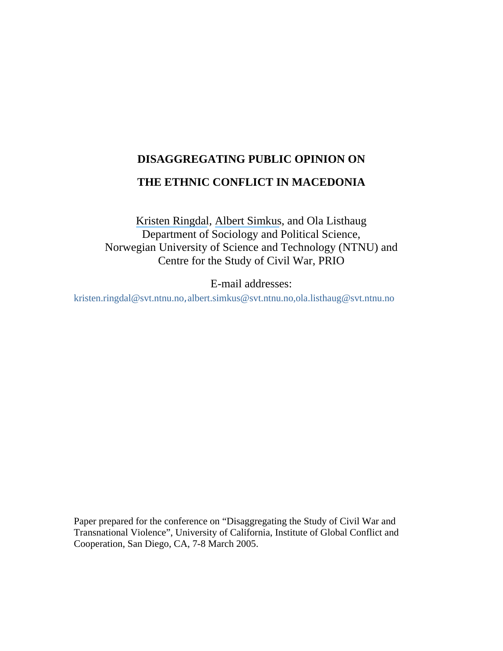# **DISAGGREGATING PUBLIC OPINION ON**

# **THE ETHNIC CONFLICT IN MACEDONIA**

[Kristen Ringdal](https://www.researchgate.net/profile/Kristen_Ringdal?el=1_x_100&enrichId=rgreq-55020dd95b536b84a4cc91a46a95aa62-XXX&enrichSource=Y292ZXJQYWdlOzI1MjY1MDg1MjtBUzozMTczOTQ1NDU3NzQ1OTlAMTQ1MjY4NDE2NDk4Nw==), [Albert Simkus](https://www.researchgate.net/profile/Albert_Simkus?el=1_x_100&enrichId=rgreq-55020dd95b536b84a4cc91a46a95aa62-XXX&enrichSource=Y292ZXJQYWdlOzI1MjY1MDg1MjtBUzozMTczOTQ1NDU3NzQ1OTlAMTQ1MjY4NDE2NDk4Nw==), and Ola Listhaug Department of Sociology and Political Science, Norwegian University of Science and Technology (NTNU) and Centre for the Study of Civil War, PRIO

E-mail addresses:

[kristen.ringdal@svt.ntnu.no](mailto:kristen.ringdal@svt.ntnu.no),albert.simkus@svt.ntnu.no[,ola.listhaug@svt.ntnu.no](mailto:ola.listhaug@svt.ntnu.no)

Paper prepared for the conference on "Disaggregating the Study of Civil War and Transnational Violence", University of California, Institute of Global Conflict and Cooperation, San Diego, CA, 7-8 March 2005.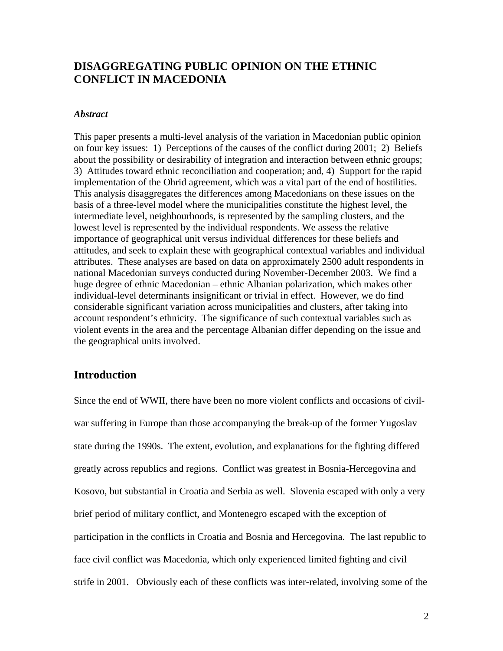# **DISAGGREGATING PUBLIC OPINION ON THE ETHNIC CONFLICT IN MACEDONIA**

#### *Abstract*

This paper presents a multi-level analysis of the variation in Macedonian public opinion on four key issues: 1) Perceptions of the causes of the conflict during 2001; 2) Beliefs about the possibility or desirability of integration and interaction between ethnic groups; 3) Attitudes toward ethnic reconciliation and cooperation; and, 4) Support for the rapid implementation of the Ohrid agreement, which was a vital part of the end of hostilities. This analysis disaggregates the differences among Macedonians on these issues on the basis of a three-level model where the municipalities constitute the highest level, the intermediate level, neighbourhoods, is represented by the sampling clusters, and the lowest level is represented by the individual respondents. We assess the relative importance of geographical unit versus individual differences for these beliefs and attitudes, and seek to explain these with geographical contextual variables and individual attributes. These analyses are based on data on approximately 2500 adult respondents in national Macedonian surveys conducted during November-December 2003. We find a huge degree of ethnic Macedonian – ethnic Albanian polarization, which makes other individual-level determinants insignificant or trivial in effect. However, we do find considerable significant variation across municipalities and clusters, after taking into account respondent's ethnicity. The significance of such contextual variables such as violent events in the area and the percentage Albanian differ depending on the issue and the geographical units involved.

#### **Introduction**

Since the end of WWII, there have been no more violent conflicts and occasions of civilwar suffering in Europe than those accompanying the break-up of the former Yugoslav state during the 1990s. The extent, evolution, and explanations for the fighting differed greatly across republics and regions. Conflict was greatest in Bosnia-Hercegovina and Kosovo, but substantial in Croatia and Serbia as well. Slovenia escaped with only a very brief period of military conflict, and Montenegro escaped with the exception of participation in the conflicts in Croatia and Bosnia and Hercegovina. The last republic to face civil conflict was Macedonia, which only experienced limited fighting and civil strife in 2001. Obviously each of these conflicts was inter-related, involving some of the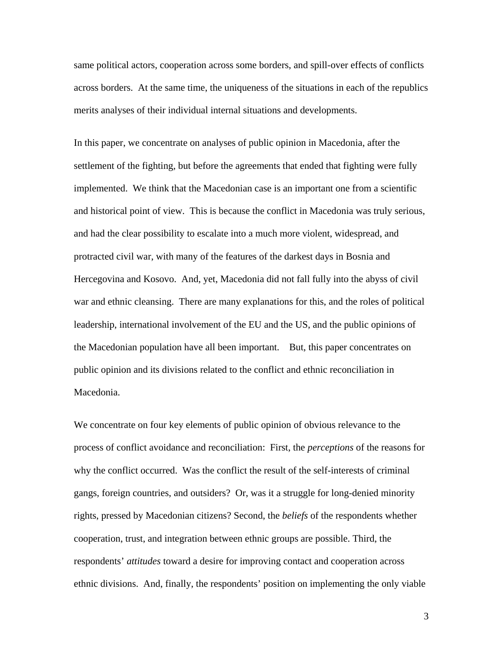same political actors, cooperation across some borders, and spill-over effects of conflicts across borders. At the same time, the uniqueness of the situations in each of the republics merits analyses of their individual internal situations and developments.

In this paper, we concentrate on analyses of public opinion in Macedonia, after the settlement of the fighting, but before the agreements that ended that fighting were fully implemented. We think that the Macedonian case is an important one from a scientific and historical point of view. This is because the conflict in Macedonia was truly serious, and had the clear possibility to escalate into a much more violent, widespread, and protracted civil war, with many of the features of the darkest days in Bosnia and Hercegovina and Kosovo. And, yet, Macedonia did not fall fully into the abyss of civil war and ethnic cleansing. There are many explanations for this, and the roles of political leadership, international involvement of the EU and the US, and the public opinions of the Macedonian population have all been important. But, this paper concentrates on public opinion and its divisions related to the conflict and ethnic reconciliation in Macedonia.

We concentrate on four key elements of public opinion of obvious relevance to the process of conflict avoidance and reconciliation: First, the *perceptions* of the reasons for why the conflict occurred. Was the conflict the result of the self-interests of criminal gangs, foreign countries, and outsiders? Or, was it a struggle for long-denied minority rights, pressed by Macedonian citizens? Second, the *beliefs* of the respondents whether cooperation, trust, and integration between ethnic groups are possible. Third, the respondents' *attitudes* toward a desire for improving contact and cooperation across ethnic divisions. And, finally, the respondents' position on implementing the only viable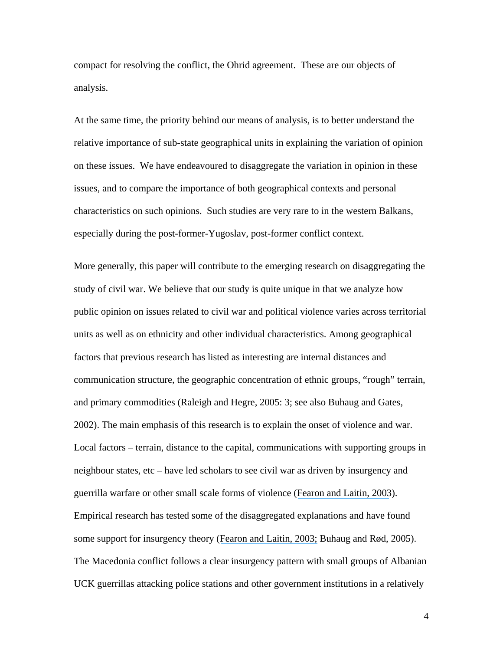compact for resolving the conflict, the Ohrid agreement. These are our objects of analysis.

At the same time, the priority behind our means of analysis, is to better understand the relative importance of sub-state geographical units in explaining the variation of opinion on these issues. We have endeavoured to disaggregate the variation in opinion in these issues, and to compare the importance of both geographical contexts and personal characteristics on such opinions. Such studies are very rare to in the western Balkans, especially during the post-former-Yugoslav, post-former conflict context.

More generally, this paper will contribute to the emerging research on disaggregating the study of civil war. We believe that our study is quite unique in that we analyze how public opinion on issues related to civil war and political violence varies across territorial units as well as on ethnicity and other individual characteristics. Among geographical factors that previous research has listed as interesting are internal distances and communication structure, the geographic concentration of ethnic groups, "rough" terrain, and primary commodities (Raleigh and Hegre, 2005: 3; see also Buhaug and Gates, 2002). The main emphasis of this research is to explain the onset of violence and war. Local factors – terrain, distance to the capital, communications with supporting groups in neighbour states, etc – have led scholars to see civil war as driven by insurgency and guerrilla warfare or other small scale forms of violence ([Fearon and Laitin, 2003](https://www.researchgate.net/publication/2834579_Ethnicity_Insurgency_And_Civil_War?el=1_x_8&enrichId=rgreq-55020dd95b536b84a4cc91a46a95aa62-XXX&enrichSource=Y292ZXJQYWdlOzI1MjY1MDg1MjtBUzozMTczOTQ1NDU3NzQ1OTlAMTQ1MjY4NDE2NDk4Nw==)). Empirical research has tested some of the disaggregated explanations and have found some support for insurgency theory ([Fearon and Laitin, 2003;](https://www.researchgate.net/publication/2834579_Ethnicity_Insurgency_And_Civil_War?el=1_x_8&enrichId=rgreq-55020dd95b536b84a4cc91a46a95aa62-XXX&enrichSource=Y292ZXJQYWdlOzI1MjY1MDg1MjtBUzozMTczOTQ1NDU3NzQ1OTlAMTQ1MjY4NDE2NDk4Nw==) Buhaug and Rød, 2005). The Macedonia conflict follows a clear insurgency pattern with small groups of Albanian UCK guerrillas attacking police stations and other government institutions in a relatively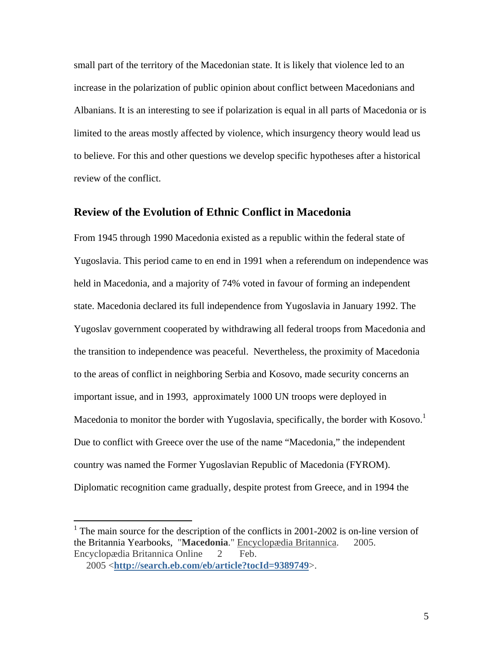small part of the territory of the Macedonian state. It is likely that violence led to an increase in the polarization of public opinion about conflict between Macedonians and Albanians. It is an interesting to see if polarization is equal in all parts of Macedonia or is limited to the areas mostly affected by violence, which insurgency theory would lead us to believe. For this and other questions we develop specific hypotheses after a historical review of the conflict.

#### **Review of the Evolution of Ethnic Conflict in Macedonia**

From 1945 through 1990 Macedonia existed as a republic within the federal state of Yugoslavia. This period came to en end in 1991 when a referendum on independence was held in Macedonia, and a majority of 74% voted in favour of forming an independent state. Macedonia declared its full independence from Yugoslavia in January 1992. The Yugoslav government cooperated by withdrawing all federal troops from Macedonia and the transition to independence was peaceful. Nevertheless, the proximity of Macedonia to the areas of conflict in neighboring Serbia and Kosovo, made security concerns an important issue, and in 1993, approximately 1000 UN troops were deployed in Macedonia to monitor the border with Yugoslavia, specifically, the border with Kosovo.<sup>[1](#page-4-0)</sup> Due to conflict with Greece over the use of the name "Macedonia," the independent country was named the Former Yugoslavian Republic of Macedonia (FYROM). Diplomatic recognition came gradually, despite protest from Greece, and in 1994 the

 $\overline{a}$ 

<span id="page-4-0"></span><sup>&</sup>lt;sup>1</sup> The main source for the description of the conflicts in 2001-2002 is on-line version of the Britannia Yearbooks, "**Macedonia**." Encyclopædia Britannica. 2005. Encyclopædia Britannica Online 2 Feb.

<sup>2005 &</sup>lt;**<http://search.eb.com/eb/article?tocId=9389749>**>.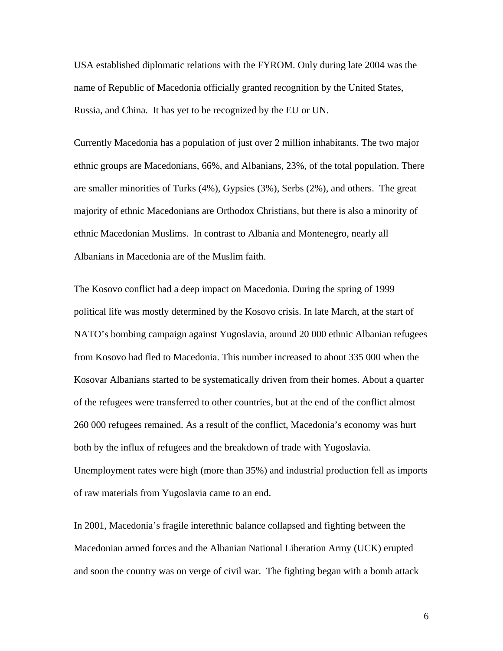USA established diplomatic relations with the FYROM. Only during late 2004 was t he name of Republic of Macedonia officially granted recognition by the United States, Russia, and China. It has yet to be recognized by the EU or UN.

majority of ethnic Macedonians are Orthodox Christians, but there is also a minority of ethnic Macedonian Muslims. In contrast to Albania and Montenegro, nearly all Albanians in Macedonia are of the Muslim faith. Currently Macedonia has a population of just over 2 million inhabitants. The two major ethnic groups are Macedonians, 66%, and Albanians, 23%, of the total population. There are smaller minorities of Turks (4%), Gypsies (3%), Serbs (2%), and others. The great

NATO's bombing campaign against Yugoslavia, around 20 000 ethnic Albanian refugees Kosovar Albanians started to be systematically driven from their homes. About a quarter 260 000 refugees remained. As a result of the conflict, Macedonia's economy was hurt Unemployment rates were high (more than 35%) and industrial production fell as imports of raw materials from Yugoslavia came to an end. The Kosovo conflict had a deep impact on Macedonia. During the spring of 1999 political life was mostly determined by the Kosovo crisis. In late March, at the start of from Kosovo had fled to Macedonia. This number increased to about 335 000 when the of the refugees were transferred to other countries, but at the end of the conflict almost both by the influx of refugees and the breakdown of trade with Yugoslavia.

In 2001, Macedonia's fragile interethnic balance collapsed and fighting between the Macedonian armed forces and the Albanian National Liberation Army (UCK) erupted and soon the country was on verge of civil war. The fighting began with a bomb attack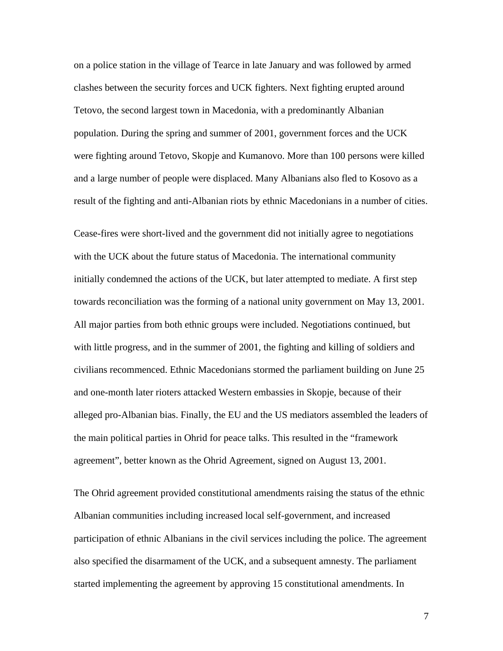on a police station in the village of Tearce in late January and was followed by armed clashes between the security forces and UCK fighters. Next fighting erupted aro und Tetovo, the second largest town in Macedonia, with a predominantly Albanian population. During the spring and summer of 2001, government forces and the UCK were fighting around Tetovo, Skopje and Kumanovo. More than 100 persons were killed and a large number of people were displaced. Many Albanians also fled to Kosovo as a result of the fighting and anti-Albanian riots by ethnic Macedonians in a number of cities.

Cease-fires were short-lived and the government did not initially agree to negotiations towards reconciliation was the forming of a national unity government on May 13, 2001. civilians recommenced. Ethnic Macedonians stormed the parliament building on June 25 alleged pro-Albanian bias. Finally, the EU and the US mediators assembled the leaders of the main political parties in Ohrid for peace talks. This resulted in the "framework agreement", better known as the Ohrid Agreement, signed on August 13, 2001. with the UCK about the future status of Macedonia. The international community initially condemned the actions of the UCK, but later attempted to mediate. A first step All major parties from both ethnic groups were included. Negotiations continued, but with little progress, and in the summer of 2001, the fighting and killing of soldiers and and one-month later rioters attacked Western embassies in Skopje, because of their

The Ohrid agreement provided constitutional amendments raising the status of the ethnic participation of ethnic Albanians in the civil services including the police. The agreement also specified the disarmament of the UCK, and a subsequent amnesty. The parliament Albanian communities including increased local self-government, and increased started implementing the agreement by approving 15 constitutional amendments. In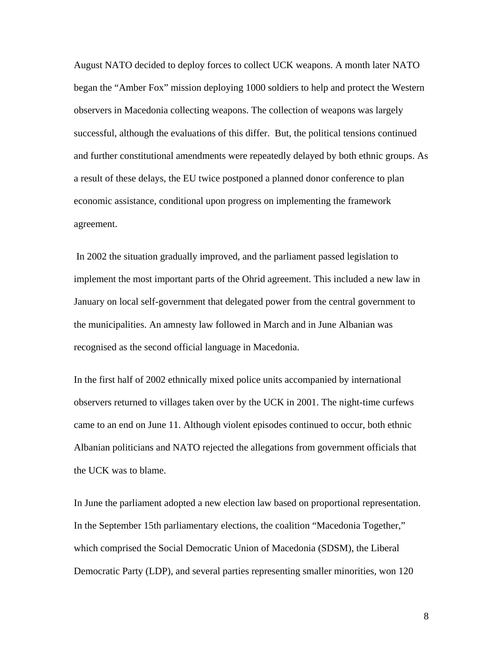August NATO decided to deploy forces to collect UCK weapons. A month later NATO began the "Amber Fox" mission deploying 1000 soldiers to help and protect the Western observers in Macedonia collecting weapons. The collection of weapons was largely successful, although the evaluations of this differ. But, the political tensions continued and further constitutional amendments were repeatedly delayed by both ethnic group s. As a result of these delays, the EU twice postponed a planned donor conference to pla n economic ass istance, conditional upon progress on implementing the framework agreement.

January on local self-government that delegated power from the central government to the municipalities. An amnesty law followed in March and in June Albanian was recognised as the second official language in Macedonia. In 2002 the situation gradually improved, and the parliament passed legislation to implement the most important parts of the Ohrid agreement. This included a new law in

Albanian politicians and NATO rejected the allegations from government officials that the UCK was to blame. In the first half of 2002 ethnically mixed police units accompanied by international observers returned to villages taken over by the UCK in 2001. The night-time curfews came to an end on June 11. Although violent episodes continued to occur, both ethnic

In June the parliament adopted a new election law based on proportional representation. In the September 15th parliamentary elections, the coalition "Macedonia Together," which comprised the Social Democratic Union of Macedonia (SDSM), the Liberal Democratic Party (LDP), and several parties representing smaller minorities, won 120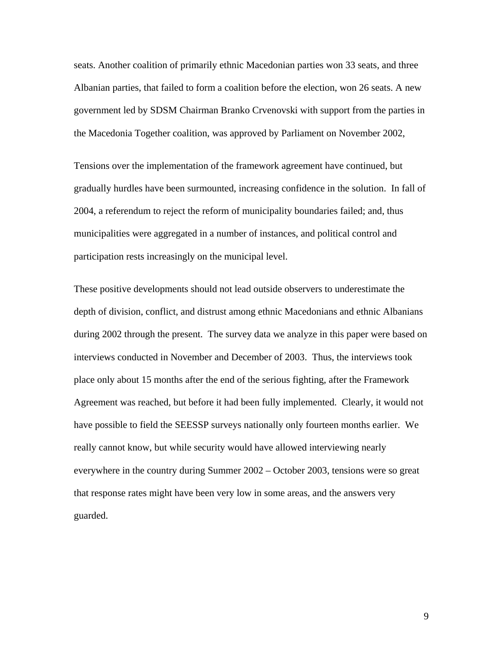seats. Another coalition of primarily ethnic Macedonian parties won 33 seats, and three Albanian parties, that failed to form a coalition before the election, won 26 seats. A new government led by SDSM Chairman Branko Crvenovski with support from the parties in the Macedonia Together coalition, was approved by Parliament on November 2002,

gradually hurdles have been surmounted, increasing confidence in the solution. In fall of municipalities were aggregated in a number of instances, and political control and participation rests increasingly on the municipal level. Tensions over the implementation of the framework agreement have continued, but 2004, a referendum to reject the reform of municipality boundaries failed; and, thus

during 2002 through the present. The survey data we analyze in this paper were based on have possible to field the SEESSP surveys nationally only fourteen months earlier. We everywhere in the country during Summer 2002 – October 2003, tensions were so great that response rates might have been very low in some areas, and the answers very guarded. These positive developments should not lead outside observers to underestimate the depth of division, conflict, and distrust among ethnic Macedonians and ethnic Albanians interviews conducted in November and December of 2003. Thus, the interviews took place only about 15 months after the end of the serious fighting, after the Framework Agreement was reached, but before it had been fully implemented. Clearly, it would not really cannot know, but while security would have allowed interviewing nearly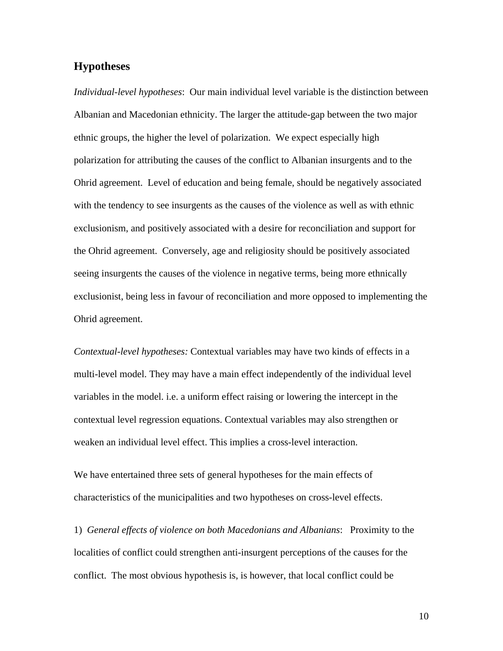#### **Hypotheses**

*Individual-level hypotheses*: Our main individual level variable is the distinction between Albanian and Macedonian ethnicity. The larger the attitude-gap between the two major ethnic groups, the higher the level of polarization. We expect especially high polarization for attributing the causes of the conflict to Albanian insurgents and to the Ohrid agreement. Level of education and being female, should be negatively associated with the tendency to see insurgents as the causes of the violence as well as with ethnic exclusionism, and positively associated with a desire for reconciliation and support for the Ohrid agreement. Conversely, age and religiosity should be positively associated seeing insurgents the causes of the violence in negative terms, being more ethnically exclusionist, being less in favour of reconciliation and more opposed to implementing the Ohrid agreement.

*Contextual-level hypotheses:* Contextual variables may have two kinds of effects in a multi-level model. They may have a main effect independently of the individual level variables in the model. i.e. a uniform effect raising or lowering the intercept in the contextual level regression equations. Contextual variables may also strengthen or weaken an individual level effect. This implies a cross-level interaction.

We have entertained three sets of general hypotheses for the main effects of characteristics of the municipalities and two hypotheses on cross-level effects.

1) *General effects of violence on both Macedonians and Albanians*: Proximity to the localities of conflict could strengthen anti-insurgent perceptions of the causes for the conflict. The most obvious hypothesis is, is however, that local conflict could be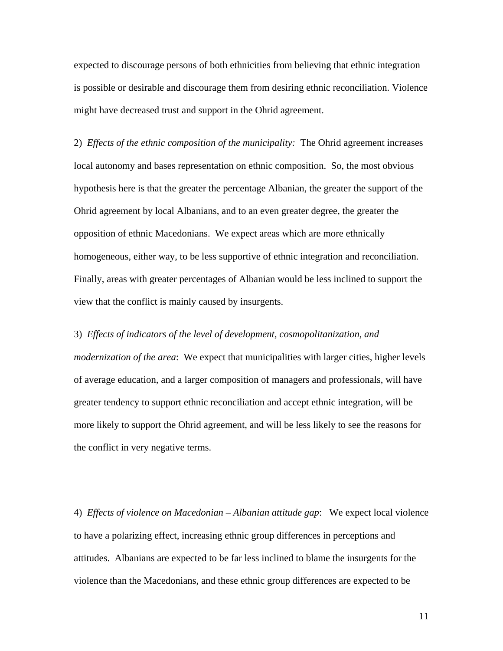expected to discourage persons of both ethnicities from believing that ethnic integration is possible or desirable and discourage them from desiring ethnic reconciliation. Violence might have decreased trust and support in the Ohrid agreement.

2) *Effects of the ethnic composition of the municipality:* The Ohrid agreement increases local autonomy and bases representation on ethnic composition. So, the most obvious hypothesis here is that the greater the percentage Albanian, the greater the support of the Ohrid agreement by local Albanians, and to an even greater degree, the greater the opposition of ethnic Macedonians. We expect areas which are more ethnically homogeneous, either way, to be less supportive of ethnic integration and reconciliation. Finally, areas with greater percentages of Albanian would be less inclined to support the view that the conflict is mainly caused by insurgents.

#### 3) *Effects of indicators of the level of development, cosmopolitanization, and*

*modernization of the area*: We expect that municipalities with larger cities, higher levels of average education, and a larger composition of managers and professionals, will have greater tendency to support ethnic reconciliation and accept ethnic integration, will be more likely to support the Ohrid agreement, and will be less likely to see the reasons for the conflict in very negative terms.

4) *Effects of violence on Macedonian – Albanian attitude gap*: We expect local violence to have a polarizing effect, increasing ethnic group differences in perceptions and attitudes. Albanians are expected to be far less inclined to blame the insurgents for the violence than the Macedonians, and these ethnic group differences are expected to be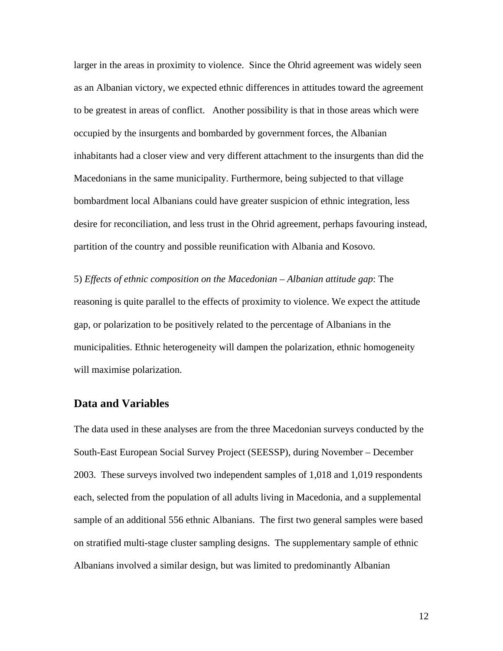larger in the areas in proximity to violence. Since the Ohrid agreement was widely seen as an Albanian victory, we expected ethnic differences in attitudes toward the agreement to be greatest in areas of conflict. Another possibility is that in those areas which were occupied by the insurgents and bombarded by government forces, the Albanian inhabitants had a closer view and very different attachment to the insurgents than did the Macedonians in the same municipality. Furthermore, being subjected to that village bombardment local Albanians could have greater suspicion of ethnic integration, less desire for reconciliation, and less trust in the Ohrid agreement, perhaps favouring instead, partition of the country and possible reunification with Albania and Kosovo.

5) *Effects of ethnic composition on the Macedonian – Albanian attitude gap*: The reasoning is quite parallel to the effects of proximity to violence. We expect the attitude gap, or polarization to be positively related to the percentage of Albanians in the municipalities. Ethnic heterogeneity will dampen the polarization, ethnic homogeneity will maximise polarization.

### **Data and Variables**

The data used in these analyses are from the three Macedonian surveys conducted by the South-East European Social Survey Project (SEESSP), during November – December 2003. These surveys involved two independent samples of 1,018 and 1,019 respondents each, selected from the population of all adults living in Macedonia, and a supplemental sample of an additional 556 ethnic Albanians. The first two general samples were based on stratified multi-stage cluster sampling designs. The supplementary sample of ethnic Albanians involved a similar design, but was limited to predominantly Albanian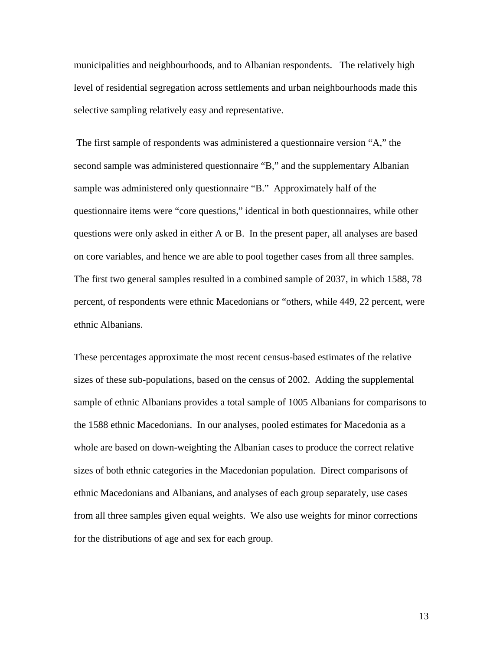municipalities and neighbourhoods, and to Albanian respondents. The relatively high level of residential segregation across settlements and urban neighbourhoods made this selective sampling relatively easy and representative.

 The first sample of respondents was administered a questionnaire version "A," the second sample was administered questionnaire "B," and the supplementary Albanian sample was administered only questionnaire "B." Approximately half of the questionnaire items were "core questions," identical in both questionnaires, while other questions were only asked in either A or B. In the present paper, all analyses are based on core variables, and hence we are able to pool together cases from all three samples. The first two general samples resulted in a combined sample of 2037, in which 1588, 78 percent, of respondents were ethnic Macedonians or "others, while 449, 22 percent, were ethnic Albanians.

These percentages approximate the most recent census-based estimates of the relative sizes of these sub-populations, based on the census of 2002. Adding the supplemental sample of ethnic Albanians provides a total sample of 1005 Albanians for comparisons to the 1588 ethnic Macedonians. In our analyses, pooled estimates for Macedonia as a whole are based on down-weighting the Albanian cases to produce the correct relative sizes of both ethnic categories in the Macedonian population. Direct comparisons of ethnic Macedonians and Albanians, and analyses of each group separately, use cases from all three samples given equal weights. We also use weights for minor corrections for the distributions of age and sex for each group.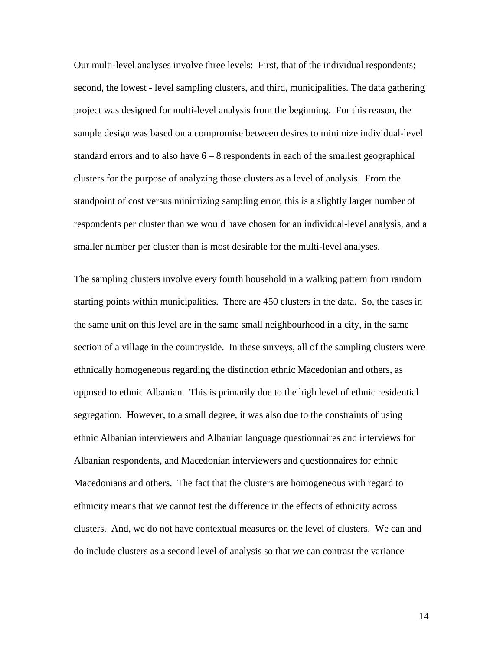Our multi-level analyses involve three levels: First, that of the individual respondents; second, the lowest - level sampling clusters, and third, municipalities. The data gathering project was designed for multi-level analysis from the beginning. For this reason, the sample design was based on a compromise between desires to minimize individual-level standard errors and to also have  $6 - 8$  respondents in each of the smallest geographical clusters for the purpose of analyzing those clusters as a level of analysis. From the standpoint of cost versus minimizing sampling error, this is a slightly larger number of respondents per cluster than we would have chosen for an individual-level analysis, and a smaller number per cluster than is most desirable for the multi-level analyses.

The sampling clusters involve every fourth household in a walking pattern from random starting points within municipalities. There are 450 clusters in the data. So, the cases in the same unit on this level are in the same small neighbourhood in a city, in the same section of a village in the countryside. In these surveys, all of the sampling clusters were ethnically homogeneous regarding the distinction ethnic Macedonian and others, as opposed to ethnic Albanian. This is primarily due to the high level of ethnic residential segregation. However, to a small degree, it was also due to the constraints of using ethnic Albanian interviewers and Albanian language questionnaires and interviews for Albanian respondents, and Macedonian interviewers and questionnaires for ethnic Macedonians and others. The fact that the clusters are homogeneous with regard to ethnicity means that we cannot test the difference in the effects of ethnicity across clusters. And, we do not have contextual measures on the level of clusters. We can and do include clusters as a second level of analysis so that we can contrast the variance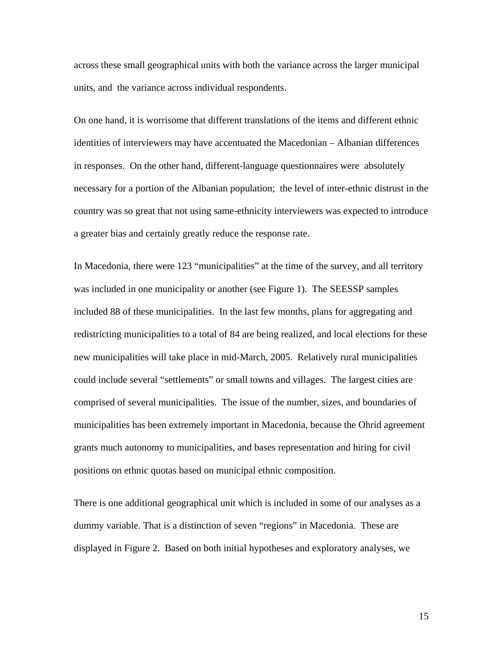across these small geographical units with both the variance across the larger municipal units, and the variance across individual respondents.

On one hand, it is worrisome that different translations of the items and different ethnic identities of interviewers may have accentuated the Macedonian – Albanian differences in responses. On the other hand, different-language questionnaires were absolutely necessary for a portion of the Albanian population; the level of inter-ethnic distrust in the country was so great that not using same-ethnicity interviewers was expected to introduce a greater bias and certainly greatly reduce the response rate.

In Macedonia, there were 123 "municipalities" at the time of the survey, and all territory was included in one municipality or another (see Figure 1). The SEESSP samples included 88 of these municipalities. In the last few months, plans for aggregating and redistricting municipalities to a total of 84 are being realized, and local elections for these new municipalities will take place in mid-March, 2005. Relatively rural municipalities could include several "settlements" or small towns and villages. The largest cities are comprised of several municipalities. The issue of the number, sizes, and boundaries of municipalities has been extremely important in Macedonia, because the Ohrid agreement grants much autonomy to municipalities, and bases representation and hiring for civil positions on ethnic quotas based on municipal ethnic composition.

There is one additional geographical unit which is included in some of our analyses as a dummy variable. That is a distinction of seven "regions" in Macedonia. These are displayed in Figure 2. Based on both initial hypotheses and exploratory analyses, we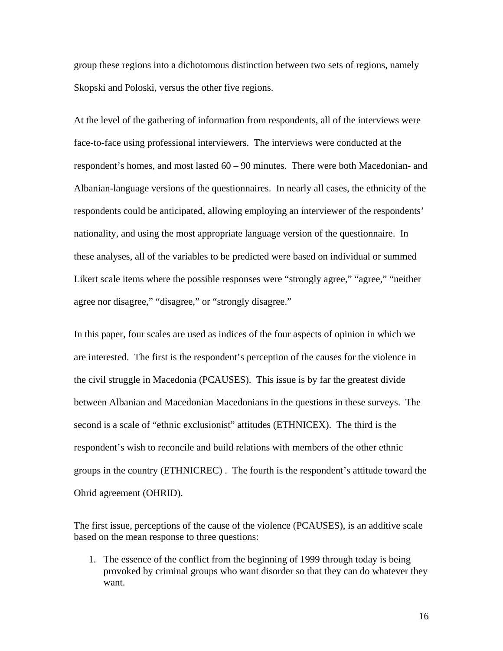group these regions into a dichotomous distinction between two sets of regions, namely Skopski and Poloski, versus the other five regions.

At the level of the gathering of information from respondents, all of the interviews were face-to-face using professional interviewers. The interviews were conducted at the respondent's homes, and most lasted 60 – 90 minutes. There were both Macedonian- and Albanian-language versions of the questionnaires. In nearly all cases, the ethnicity of the respondents could be anticipated, allowing employing an interviewer of the respondents' nationality, and using the most appropriate language version of the questionnaire. In these analyses, all of the variables to be predicted were based on individual or summed Likert scale items where the possible responses were "strongly agree," "agree," "neither agree nor disagree," "disagree," or "strongly disagree."

In this paper, four scales are used as indices of the four aspects of opinion in which we are interested. The first is the respondent's perception of the causes for the violence in the civil struggle in Macedonia (PCAUSES). This issue is by far the greatest divide between Albanian and Macedonian Macedonians in the questions in these surveys. The second is a scale of "ethnic exclusionist" attitudes (ETHNICEX). The third is the respondent's wish to reconcile and build relations with members of the other ethnic groups in the country (ETHNICREC) . The fourth is the respondent's attitude toward the Ohrid agreement (OHRID).

The first issue, perceptions of the cause of the violence (PCAUSES), is an additive scale based on the mean response to three questions:

1. The essence of the conflict from the beginning of 1999 through today is being provoked by criminal groups who want disorder so that they can do whatever they want.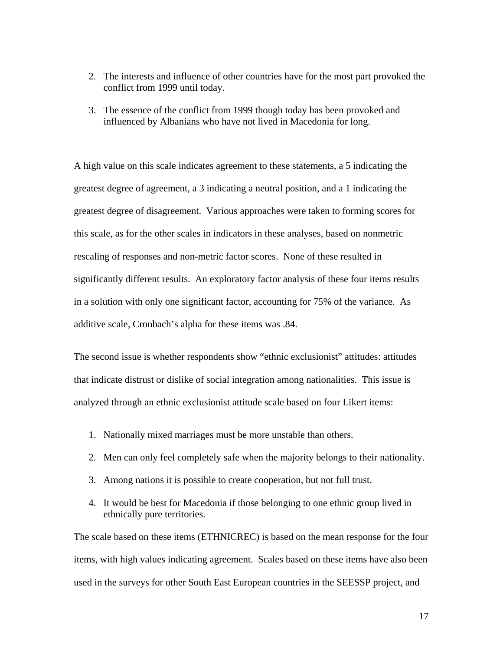- 2. The interests and influence of other countries have for the most part provoked the conflict from 1999 until today.
- 3. The essence of the conflict from 1999 though today has been provoked and influenced by Albanians who have not lived in Macedonia for long.

A high value on this scale indicates agreement to these statements, a 5 indicating the greatest degree of agreement, a 3 indicating a neutral position, and a 1 indicating the greatest degree of disagreement. Various approaches were taken to forming scores for this scale, as for the other scales in indicators in these analyses, based on nonmetric rescaling of responses and non-metric factor scores. None of these resulted in significantly different results. An exploratory factor analysis of these four items results in a solution with only one significant factor, accounting for 75% of the variance. As additive scale, Cronbach's alpha for these items was .84.

The second issue is whether respondents show "ethnic exclusionist" attitudes: attitudes that indicate distrust or dislike of social integration among nationalities. This issue is analyzed through an ethnic exclusionist attitude scale based on four Likert items:

- 1. Nationally mixed marriages must be more unstable than others.
- 2. Men can only feel completely safe when the majority belongs to their nationality.
- 3. Among nations it is possible to create cooperation, but not full trust.
- 4. It would be best for Macedonia if those belonging to one ethnic group lived in ethnically pure territories.

The scale based on these items (ETHNICREC) is based on the mean response for the four items, with high values indicating agreement. Scales based on these items have also been used in the surveys for other South East European countries in the SEESSP project, and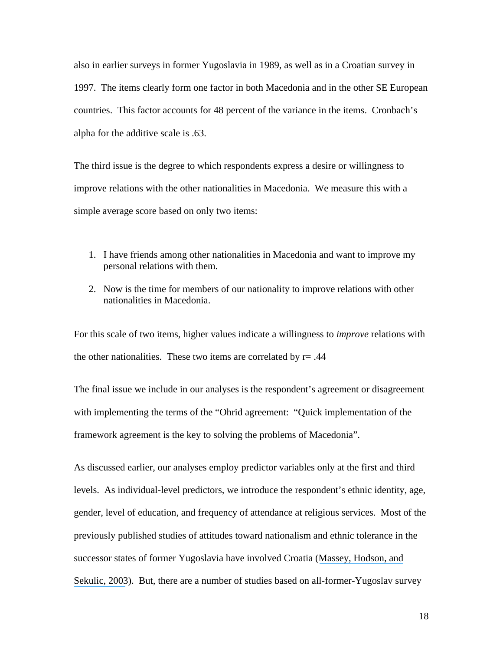also in earlier surveys in former Yugoslavia in 1989, as well as in a Croatian survey in 1997. The items clearly form one factor in both Macedonia and in the other SE European countries. This factor accounts for 48 percent of the variance in the items. Cronbach's alpha for the additive scale is .63.

The third issue is the degree to which respondents express a desire or willingness to improve relations with the other nationalities in Macedonia. We measure this with a simple average score based on only two items:

- 1. I have friends among other nationalities in Macedonia and want to improve my personal relations with them.
- 2. Now is the time for members of our nationality to improve relations with other nationalities in Macedonia.

For this scale of two items, higher values indicate a willingness to *improve* relations with the other nationalities. These two items are correlated by  $r = .44$ 

The final issue we include in our analyses is the respondent's agreement or disagreement with implementing the terms of the "Ohrid agreement: "Quick implementation of the framework agreement is the key to solving the problems of Macedonia".

As discussed earlier, our analyses employ predictor variables only at the first and third levels. As individual-level predictors, we introduce the respondent's ethnic identity, age, gender, level of education, and frequency of attendance at religious services. Most of the previously published studies of attitudes toward nationalism and ethnic tolerance in the successor states of former Yugoslavia have involved Croatia ([Massey, Hodson, and](https://www.researchgate.net/publication/227919751_Nationalism_Liberalism_and_Liberal_Nationalism_in_Post-War_Croatia?el=1_x_8&enrichId=rgreq-55020dd95b536b84a4cc91a46a95aa62-XXX&enrichSource=Y292ZXJQYWdlOzI1MjY1MDg1MjtBUzozMTczOTQ1NDU3NzQ1OTlAMTQ1MjY4NDE2NDk4Nw==) [Sekulic, 2003](https://www.researchgate.net/publication/227919751_Nationalism_Liberalism_and_Liberal_Nationalism_in_Post-War_Croatia?el=1_x_8&enrichId=rgreq-55020dd95b536b84a4cc91a46a95aa62-XXX&enrichSource=Y292ZXJQYWdlOzI1MjY1MDg1MjtBUzozMTczOTQ1NDU3NzQ1OTlAMTQ1MjY4NDE2NDk4Nw==)). But, there are a number of studies based on all-former-Yugoslav survey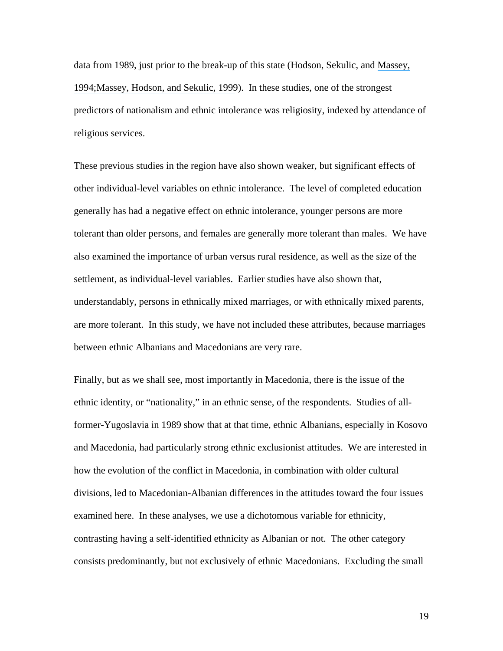data from 1989, just prior to the break-up of this state (Hodson, Sekulic, and [Massey,](https://www.researchgate.net/publication/249175234_National_Tolerance_in_the_Former_Yugoslavia?el=1_x_8&enrichId=rgreq-55020dd95b536b84a4cc91a46a95aa62-XXX&enrichSource=Y292ZXJQYWdlOzI1MjY1MDg1MjtBUzozMTczOTQ1NDU3NzQ1OTlAMTQ1MjY4NDE2NDk4Nw==) [1994;](https://www.researchgate.net/publication/249175234_National_Tolerance_in_the_Former_Yugoslavia?el=1_x_8&enrichId=rgreq-55020dd95b536b84a4cc91a46a95aa62-XXX&enrichSource=Y292ZXJQYWdlOzI1MjY1MDg1MjtBUzozMTczOTQ1NDU3NzQ1OTlAMTQ1MjY4NDE2NDk4Nw==)[Massey, Hodson, and Sekulic, 1999](https://www.researchgate.net/publication/271690227_Ethnic_Enclaves_and_Intolerance_The_Case_of_Yugoslavia?el=1_x_8&enrichId=rgreq-55020dd95b536b84a4cc91a46a95aa62-XXX&enrichSource=Y292ZXJQYWdlOzI1MjY1MDg1MjtBUzozMTczOTQ1NDU3NzQ1OTlAMTQ1MjY4NDE2NDk4Nw==)). In these studies, one of the strongest predictors of nationalism and ethnic intolerance was religiosity, indexed by attendance of religious services.

These previous studies in the region have also shown weaker, but significant effects of other individual-level variables on ethnic intolerance. The level of completed education generally has had a negative effect on ethnic intolerance, younger persons are more tolerant than older persons, and females are generally more tolerant than males. We have also examined the importance of urban versus rural residence, as well as the size of the settlement, as individual-level variables. Earlier studies have also shown that, understandably, persons in ethnically mixed marriages, or with ethnically mixed parents, are more tolerant. In this study, we have not included these attributes, because marriages between ethnic Albanians and Macedonians are very rare.

Finally, but as we shall see, most importantly in Macedonia, there is the issue of the ethnic identity, or "nationality," in an ethnic sense, of the respondents. Studies of allformer-Yugoslavia in 1989 show that at that time, ethnic Albanians, especially in Kosovo and Macedonia, had particularly strong ethnic exclusionist attitudes. We are interested in how the evolution of the conflict in Macedonia, in combination with older cultural divisions, led to Macedonian-Albanian differences in the attitudes toward the four issues examined here. In these analyses, we use a dichotomous variable for ethnicity, contrasting having a self-identified ethnicity as Albanian or not. The other category consists predominantly, but not exclusively of ethnic Macedonians. Excluding the small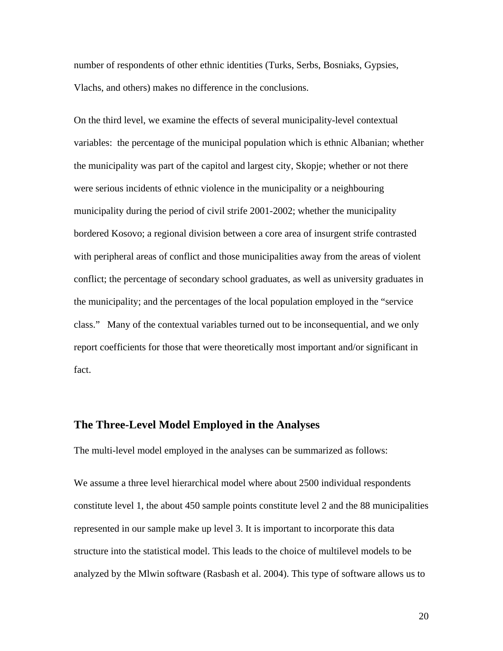number of respondents of other ethnic identities (Turks, Serbs, Bosniaks, Gypsies, Vlachs, and others) makes no difference in the conclusions.

On the third level, we examine the effects of several municipality-level contextual variables: the percentage of the municipal population which is ethnic Albanian; whether the municipality was part of the capitol and largest city, Skopje; whether or not there were serious incidents of ethnic violence in the municipality or a neighbouring municipality during the period of civil strife 2001-2002; whether the municipality bordered Kosovo; a regional division between a core area of insurgent strife contrasted with peripheral areas of conflict and those municipalities away from the areas of violent conflict; the percentage of secondary school graduates, as well as university graduates in the municipality; and the percentages of the local population employed in the "service class." Many of the contextual variables turned out to be inconsequential, and we only report coefficients for those that were theoretically most important and/or significant in fact.

#### **The Three-Level Model Employed in the Analyses**

The multi-level model employed in the analyses can be summarized as follows:

We assume a three level hierarchical model where about 2500 individual respondents constitute level 1, the about 450 sample points constitute level 2 and the 88 municipalities represented in our sample make up level 3. It is important to incorporate this data structure into the statistical model. This leads to the choice of multilevel models to be analyzed by the Mlwin software (Rasbash et al. 2004). This type of software allows us to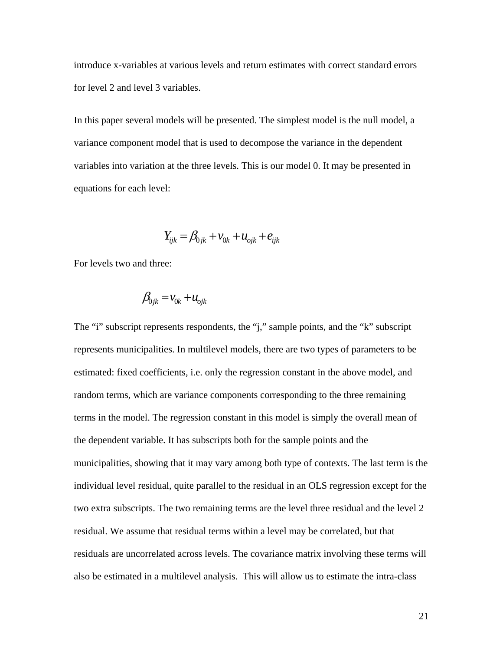introduce x-variables at various levels and return estimates with correct standard errors for level 2 and level 3 variables.

In this paper several models will be presented. The simplest model is the null model, a variance component model that is used to decompose the variance in the dependent variables into variation at the three levels. This is our model 0. It may be presented in equations for each level:

$$
Y_{ijk} = \beta_{0jk} + v_{0k} + u_{0jk} + e_{ijk}
$$

For levels two and three:

$$
\beta_{0jk} = v_{0k} + u_{0jk}
$$

The "i" subscript represents respondents, the "j," sample points, and the "k" subscript represents municipalities. In multilevel models, there are two types of parameters to be estimated: fixed coefficients, i.e. only the regression constant in the above model, and random terms, which are variance components corresponding to the three remaining terms in the model. The regression constant in this model is simply the overall mean of the dependent variable. It has subscripts both for the sample points and the municipalities, showing that it may vary among both type of contexts. The last term is the individual level residual, quite parallel to the residual in an OLS regression except for the two extra subscripts. The two remaining terms are the level three residual and the level 2 residual. We assume that residual terms within a level may be correlated, but that residuals are uncorrelated across levels. The covariance matrix involving these terms will also be estimated in a multilevel analysis. This will allow us to estimate the intra-class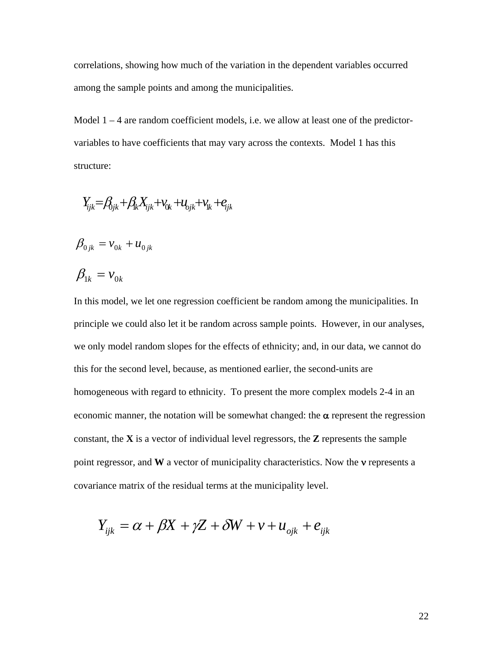correlations, showing how much of the variation in the dependent variables occurred among the sample points and among the municipalities.

Model  $1 - 4$  are random coefficient models, i.e. we allow at least one of the predictorvariables to have coefficients that may vary across the contexts. Model 1 has this structure:

$$
Y_{ijk} = \beta_{0jk} + \beta_k X_{ijk} + v_{0k} + u_{0jk} + v_{ik} + e_{ijk}
$$

$$
\beta_{0jk} = v_{0k} + u_{0jk}
$$

$$
\beta_{1k} = v_{0k}
$$

In this model, we let one regression coefficient be random among the municipalities. In principle we could also let it be random across sample points. However, in our analyses, we only model random slopes for the effects of ethnicity; and, in our data, we cannot do this for the second level, because, as mentioned earlier, the second-units are homogeneous with regard to ethnicity. To present the more complex models 2-4 in an economic manner, the notation will be somewhat changed: the  $\alpha$  represent the regression constant, the **X** is a vector of individual level regressors, the **Z** represents the sample point regressor, and **W** a vector of municipality characteristics. Now the **v** represents a covariance matrix of the residual terms at the municipality level.

$$
Y_{ijk} = \alpha + \beta X + \gamma Z + \delta W + v + u_{ijk} + e_{ijk}
$$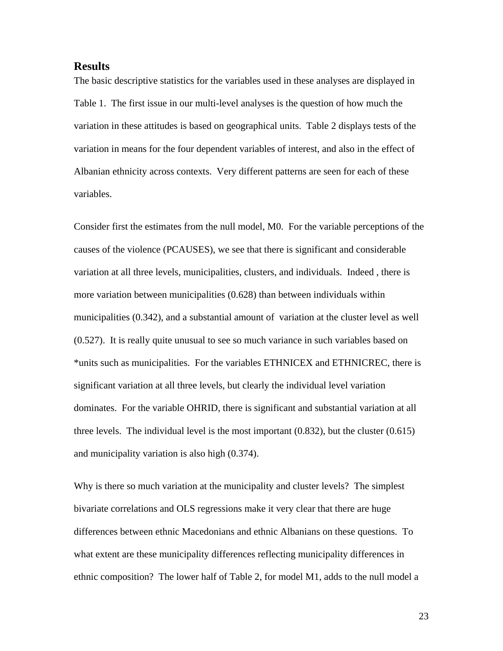#### **Results**

The basic descriptive statistics for the variables used in these analyses are displayed in Table 1. The first issue in our multi-level analyses is the question of how much the variation in these attitudes is based on geographical units. Table 2 displays tests of the variation in means for the four dependent variables of interest, and also in the effect of Albanian ethnicity across contexts. Very different patterns are seen for each of these variables.

Consider first the estimates from the null model, M0. For the variable perceptions of the causes of the violence (PCAUSES), we see that there is significant and considerable variation at all three levels, municipalities, clusters, and individuals. Indeed , there is more variation between municipalities (0.628) than between individuals within municipalities (0.342), and a substantial amount of variation at the cluster level as well (0.527). It is really quite unusual to see so much variance in such variables based on \*units such as municipalities. For the variables ETHNICEX and ETHNICREC, there is significant variation at all three levels, but clearly the individual level variation dominates. For the variable OHRID, there is significant and substantial variation at all three levels. The individual level is the most important (0.832), but the cluster (0.615) and municipality variation is also high (0.374).

Why is there so much variation at the municipality and cluster levels? The simplest bivariate correlations and OLS regressions make it very clear that there are huge differences between ethnic Macedonians and ethnic Albanians on these questions. To what extent are these municipality differences reflecting municipality differences in ethnic composition? The lower half of Table 2, for model M1, adds to the null model a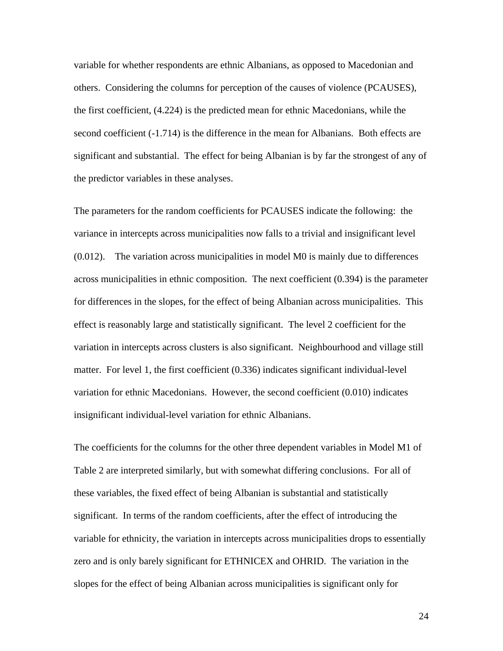variable for whether respondents are ethnic Albanians, as opposed to Macedonian and others. Considering the columns for perception of the causes of violence (PCAUSES), the first coefficient, (4.224) is the predicted mean for ethnic Macedonians, while the second coefficient (-1.714) is the difference in the mean for Albanians. Both effects are significant and substantial. The effect for being Albanian is by far the strongest of any of the predictor variables in these analyses.

The parameters for the random coefficients for PCAUSES indicate the following: the variance in intercepts across municipalities now falls to a trivial and insignificant level (0.012). The variation across municipalities in model M0 is mainly due to differences across municipalities in ethnic composition. The next coefficient (0.394) is the parameter for differences in the slopes, for the effect of being Albanian across municipalities. This effect is reasonably large and statistically significant. The level 2 coefficient for the variation in intercepts across clusters is also significant. Neighbourhood and village still matter. For level 1, the first coefficient (0.336) indicates significant individual-level variation for ethnic Macedonians. However, the second coefficient (0.010) indicates insignificant individual-level variation for ethnic Albanians.

The coefficients for the columns for the other three dependent variables in Model M1 of Table 2 are interpreted similarly, but with somewhat differing conclusions. For all of these variables, the fixed effect of being Albanian is substantial and statistically significant. In terms of the random coefficients, after the effect of introducing the variable for ethnicity, the variation in intercepts across municipalities drops to essentially zero and is only barely significant for ETHNICEX and OHRID. The variation in the slopes for the effect of being Albanian across municipalities is significant only for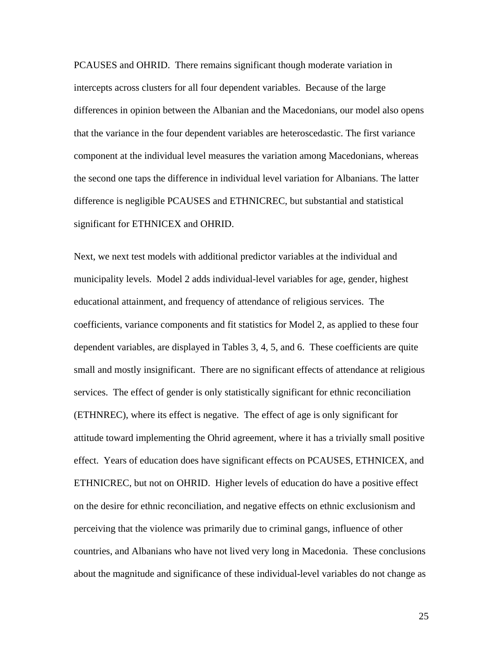PCAUSES and OHRID. There remains significant though moderate variation in intercepts across clusters for all four dependent variables. Because of the large differences in opinion between the Albanian and the Macedonians, our model also opens that the variance in the four dependent variables are heteroscedastic. The first variance component at the individual level measures the variation among Macedonians, whereas the second one taps the difference in individual level variation for Albanians. The latter difference is negligible PCAUSES and ETHNICREC, but substantial and statistical significant for ETHNICEX and OHRID.

Next, we next test models with additional predictor variables at the individual and municipality levels. Model 2 adds individual-level variables for age, gender, highest educational attainment, and frequency of attendance of religious services. The coefficients, variance components and fit statistics for Model 2, as applied to these four dependent variables, are displayed in Tables 3, 4, 5, and 6. These coefficients are quite small and mostly insignificant. There are no significant effects of attendance at religious services. The effect of gender is only statistically significant for ethnic reconciliation (ETHNREC), where its effect is negative. The effect of age is only significant for attitude toward implementing the Ohrid agreement, where it has a trivially small positive effect. Years of education does have significant effects on PCAUSES, ETHNICEX, and ETHNICREC, but not on OHRID. Higher levels of education do have a positive effect on the desire for ethnic reconciliation, and negative effects on ethnic exclusionism and perceiving that the violence was primarily due to criminal gangs, influence of other countries, and Albanians who have not lived very long in Macedonia. These conclusions about the magnitude and significance of these individual-level variables do not change as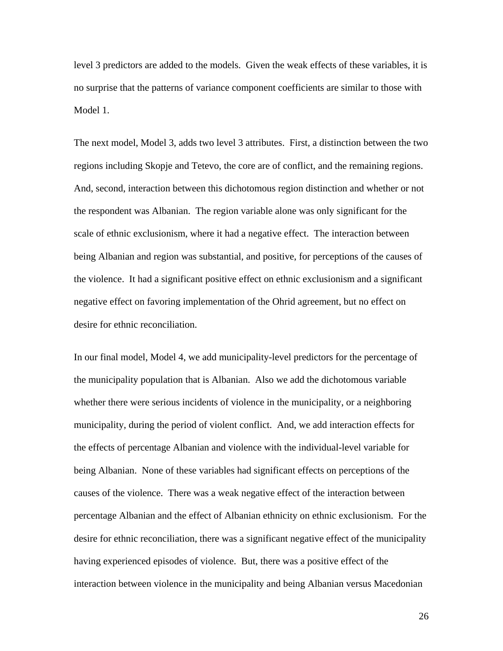level 3 predictors are added to the models. Given the weak effects of these variables, it is no surprise that the patterns of variance component coefficients are similar to those with Model 1.

The next model, Model 3, adds two level 3 attributes. First, a distinction between the two regions including Skopje and Tetevo, the core are of conflict, and the remaining regions. And, second, interaction between this dichotomous region distinction and whether or not the respondent was Albanian. The region variable alone was only significant for the scale of ethnic exclusionism, where it had a negative effect. The interaction between being Albanian and region was substantial, and positive, for perceptions of the causes of the violence. It had a significant positive effect on ethnic exclusionism and a significant negative effect on favoring implementation of the Ohrid agreement, but no effect on desire for ethnic reconciliation.

In our final model, Model 4, we add municipality-level predictors for the percentage of the municipality population that is Albanian. Also we add the dichotomous variable whether there were serious incidents of violence in the municipality, or a neighboring municipality, during the period of violent conflict. And, we add interaction effects for the effects of percentage Albanian and violence with the individual-level variable for being Albanian. None of these variables had significant effects on perceptions of the causes of the violence. There was a weak negative effect of the interaction between percentage Albanian and the effect of Albanian ethnicity on ethnic exclusionism. For the desire for ethnic reconciliation, there was a significant negative effect of the municipality having experienced episodes of violence. But, there was a positive effect of the interaction between violence in the municipality and being Albanian versus Macedonian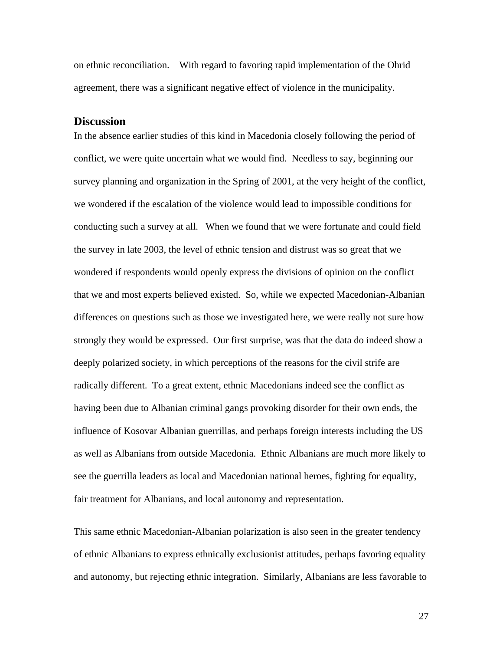on ethnic reconciliation. With regard to favoring rapid implementation of the Ohrid agreement, there was a significant negative effect of violence in the municipality.

#### **Discussion**

In the absence earlier studies of this kind in Macedonia closely following the period of conflict, we were quite uncertain what we would find. Needless to say, beginning our survey planning and organization in the Spring of 2001, at the very height of the conflict, we wondered if the escalation of the violence would lead to impossible conditions for conducting such a survey at all. When we found that we were fortunate and could field the survey in late 2003, the level of ethnic tension and distrust was so great that we wondered if respondents would openly express the divisions of opinion on the conflict that we and most experts believed existed. So, while we expected Macedonian-Albanian differences on questions such as those we investigated here, we were really not sure how strongly they would be expressed. Our first surprise, was that the data do indeed show a deeply polarized society, in which perceptions of the reasons for the civil strife are radically different. To a great extent, ethnic Macedonians indeed see the conflict as having been due to Albanian criminal gangs provoking disorder for their own ends, the influence of Kosovar Albanian guerrillas, and perhaps foreign interests including the US as well as Albanians from outside Macedonia. Ethnic Albanians are much more likely to see the guerrilla leaders as local and Macedonian national heroes, fighting for equality, fair treatment for Albanians, and local autonomy and representation.

This same ethnic Macedonian-Albanian polarization is also seen in the greater tendency of ethnic Albanians to express ethnically exclusionist attitudes, perhaps favoring equality and autonomy, but rejecting ethnic integration. Similarly, Albanians are less favorable to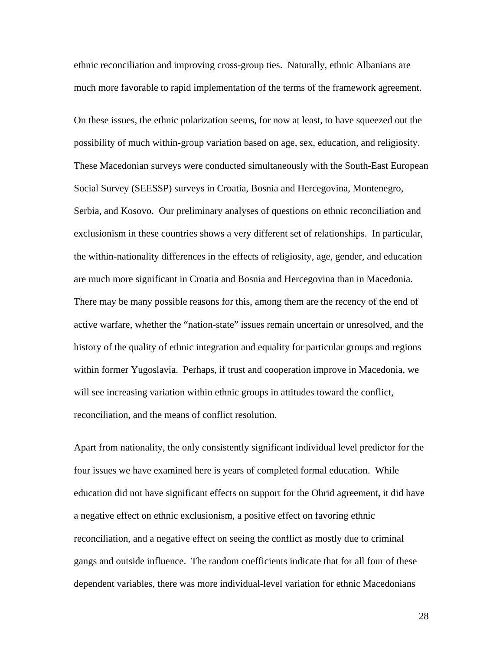ethnic reconciliation and improving cross-group ties. Naturally, ethnic Albanians are much more favorable to rapid implementation of the terms of the framework agreement.

On these issues, the ethnic polarization seems, for now at least, to have squeezed out the possibility of much within-group variation based on age, sex, education, and religiosity. These Macedonian surveys were conducted simultaneously with the South-East European Social Survey (SEESSP) surveys in Croatia, Bosnia and Hercegovina, Montenegro, Serbia, and Kosovo. Our preliminary analyses of questions on ethnic reconciliation and exclusionism in these countries shows a very different set of relationships. In particular, the within-nationality differences in the effects of religiosity, age, gender, and education are much more significant in Croatia and Bosnia and Hercegovina than in Macedonia. There may be many possible reasons for this, among them are the recency of the end of active warfare, whether the "nation-state" issues remain uncertain or unresolved, and the history of the quality of ethnic integration and equality for particular groups and regions within former Yugoslavia. Perhaps, if trust and cooperation improve in Macedonia, we will see increasing variation within ethnic groups in attitudes toward the conflict, reconciliation, and the means of conflict resolution.

Apart from nationality, the only consistently significant individual level predictor for the four issues we have examined here is years of completed formal education. While education did not have significant effects on support for the Ohrid agreement, it did have a negative effect on ethnic exclusionism, a positive effect on favoring ethnic reconciliation, and a negative effect on seeing the conflict as mostly due to criminal gangs and outside influence. The random coefficients indicate that for all four of these dependent variables, there was more individual-level variation for ethnic Macedonians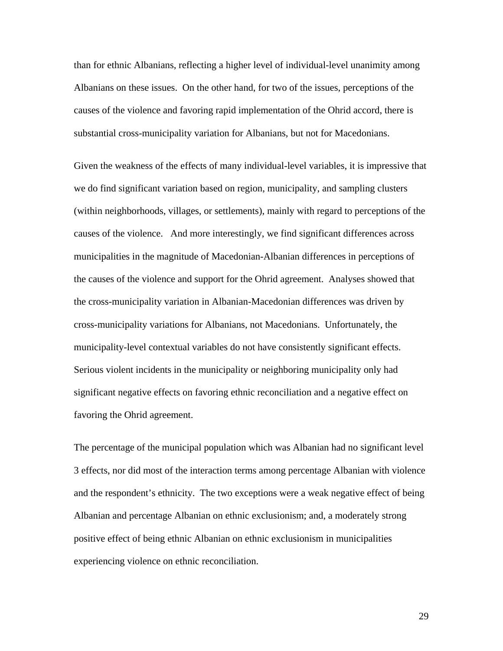than for ethnic Albanians, reflecting a higher level of individual-level unanimity among Albanians on these issues. On the other hand, for two of the issues, perceptions of the causes of the violence and favoring rapid implementation of the Ohrid accord, there is substantial cross-municipality variation for Albanians, but not for Macedonians.

Given the weakness of the effects of many individual-level variables, it is impressive that we do find significant variation based on region, municipality, and sampling clusters (within neighborhoods, villages, or settlements), mainly with regard to perceptions of the causes of the violence. And more interestingly, we find significant differences across municipalities in the magnitude of Macedonian-Albanian differences in perceptions of the causes of the violence and support for the Ohrid agreement. Analyses showed that the cross-municipality variation in Albanian-Macedonian differences was driven by cross-municipality variations for Albanians, not Macedonians. Unfortunately, the municipality-level contextual variables do not have consistently significant effects. Serious violent incidents in the municipality or neighboring municipality only had significant negative effects on favoring ethnic reconciliation and a negative effect on favoring the Ohrid agreement.

The percentage of the municipal population which was Albanian had no significant level 3 effects, nor did most of the interaction terms among percentage Albanian with violence and the respondent's ethnicity. The two exceptions were a weak negative effect of being Albanian and percentage Albanian on ethnic exclusionism; and, a moderately strong positive effect of being ethnic Albanian on ethnic exclusionism in municipalities experiencing violence on ethnic reconciliation.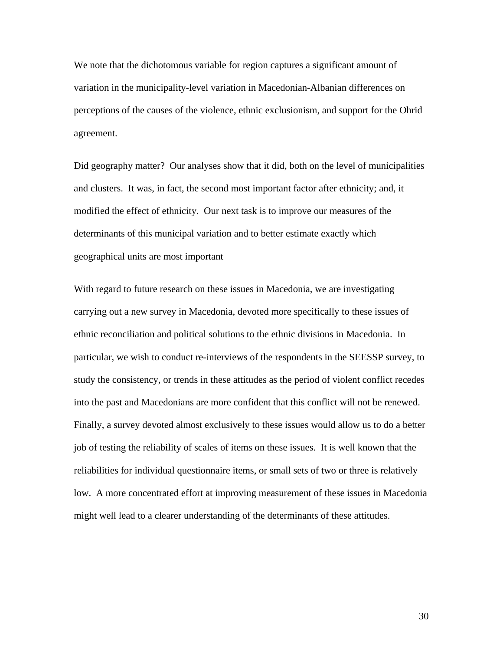We note that the dichotomous variable for region captures a significant amount of variation in the municipality-level variation in Macedonian-Albanian differences on perceptions of the causes of the violence, ethnic exclusionism, and support for the Ohrid agreement.

Did geography matter? Our analyses show that it did, both on the level of municipalities and clusters. It was, in fact, the second most important factor after ethnicity; and, it modified the effect of ethnicity. Our next task is to improve our measures of the determinants of this municipal variation and to better estimate exactly which geographical units are most important

With regard to future research on these issues in Macedonia, we are investigating carrying out a new survey in Macedonia, devoted more specifically to these issues of ethnic reconciliation and political solutions to the ethnic divisions in Macedonia. In particular, we wish to conduct re-interviews of the respondents in the SEESSP survey, to study the consistency, or trends in these attitudes as the period of violent conflict recedes into the past and Macedonians are more confident that this conflict will not be renewed. Finally, a survey devoted almost exclusively to these issues would allow us to do a better job of testing the reliability of scales of items on these issues. It is well known that the reliabilities for individual questionnaire items, or small sets of two or three is relatively low. A more concentrated effort at improving measurement of these issues in Macedonia might well lead to a clearer understanding of the determinants of these attitudes.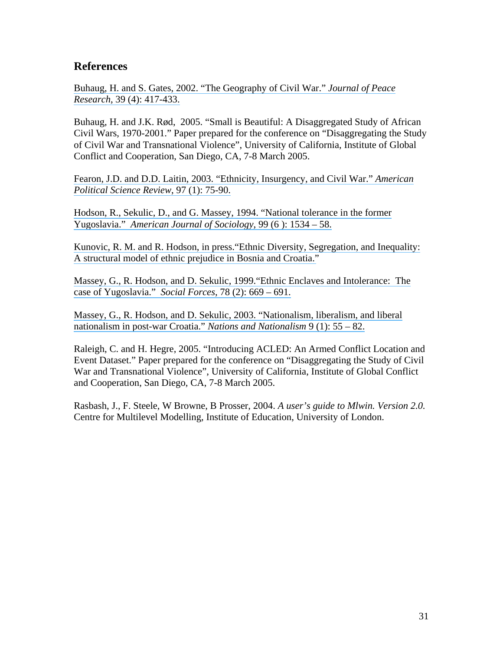## **References**

[Buhaug, H. and S. Gates, 2002. "The Geography of Civil War."](https://www.researchgate.net/publication/249706250_The_Geography_of_Civil_War?el=1_x_8&enrichId=rgreq-55020dd95b536b84a4cc91a46a95aa62-XXX&enrichSource=Y292ZXJQYWdlOzI1MjY1MDg1MjtBUzozMTczOTQ1NDU3NzQ1OTlAMTQ1MjY4NDE2NDk4Nw==) *Journal of Peace Research*[, 39 \(4\): 417-433.](https://www.researchgate.net/publication/249706250_The_Geography_of_Civil_War?el=1_x_8&enrichId=rgreq-55020dd95b536b84a4cc91a46a95aa62-XXX&enrichSource=Y292ZXJQYWdlOzI1MjY1MDg1MjtBUzozMTczOTQ1NDU3NzQ1OTlAMTQ1MjY4NDE2NDk4Nw==) 

Buhaug, H. and J.K. Rød, 2005. "Small is Beautiful: A Disaggregated Study of African Civil Wars, 1970-2001." Paper prepared for the conference on "Disaggregating the Study of Civil War and Transnational Violence", University of California, Institute of Global Conflict and Cooperation, San Diego, CA, 7-8 March 2005.

[Fearon, J.D. and D.D. Laitin, 2003. "Ethnicity, Insurgency, and Civil War."](https://www.researchgate.net/publication/2834579_Ethnicity_Insurgency_And_Civil_War?el=1_x_8&enrichId=rgreq-55020dd95b536b84a4cc91a46a95aa62-XXX&enrichSource=Y292ZXJQYWdlOzI1MjY1MDg1MjtBUzozMTczOTQ1NDU3NzQ1OTlAMTQ1MjY4NDE2NDk4Nw==) *American [Political Science Review](https://www.researchgate.net/publication/2834579_Ethnicity_Insurgency_And_Civil_War?el=1_x_8&enrichId=rgreq-55020dd95b536b84a4cc91a46a95aa62-XXX&enrichSource=Y292ZXJQYWdlOzI1MjY1MDg1MjtBUzozMTczOTQ1NDU3NzQ1OTlAMTQ1MjY4NDE2NDk4Nw==)*, 97 (1): 75-90.

[Hodson, R., Sekulic, D., and G. Massey, 1994. "National tolerance in the former](https://www.researchgate.net/publication/249175234_National_Tolerance_in_the_Former_Yugoslavia?el=1_x_8&enrichId=rgreq-55020dd95b536b84a4cc91a46a95aa62-XXX&enrichSource=Y292ZXJQYWdlOzI1MjY1MDg1MjtBUzozMTczOTQ1NDU3NzQ1OTlAMTQ1MjY4NDE2NDk4Nw==)  Yugoslavia." *[American Journal of Sociology](https://www.researchgate.net/publication/249175234_National_Tolerance_in_the_Former_Yugoslavia?el=1_x_8&enrichId=rgreq-55020dd95b536b84a4cc91a46a95aa62-XXX&enrichSource=Y292ZXJQYWdlOzI1MjY1MDg1MjtBUzozMTczOTQ1NDU3NzQ1OTlAMTQ1MjY4NDE2NDk4Nw==)*, 99 (6 ): 1534 – 58.

[Kunovic, R. M. and R. Hodson, in press."Ethnic Diversity, Segregation, and Inequality:](https://www.researchgate.net/publication/227692289_Ethnic_Diversity_Segregation_and_Inequality_A_Structural_Model_of_Ethnic_Prejudice_in_Bosnia_and_Croatia?el=1_x_8&enrichId=rgreq-55020dd95b536b84a4cc91a46a95aa62-XXX&enrichSource=Y292ZXJQYWdlOzI1MjY1MDg1MjtBUzozMTczOTQ1NDU3NzQ1OTlAMTQ1MjY4NDE2NDk4Nw==)  [A structural model of ethnic prejudice in Bosnia and Croatia."](https://www.researchgate.net/publication/227692289_Ethnic_Diversity_Segregation_and_Inequality_A_Structural_Model_of_Ethnic_Prejudice_in_Bosnia_and_Croatia?el=1_x_8&enrichId=rgreq-55020dd95b536b84a4cc91a46a95aa62-XXX&enrichSource=Y292ZXJQYWdlOzI1MjY1MDg1MjtBUzozMTczOTQ1NDU3NzQ1OTlAMTQ1MjY4NDE2NDk4Nw==)

[Massey, G., R. Hodson, and D. Sekulic, 1999."Ethnic Enclaves and Intolerance: The](https://www.researchgate.net/publication/271690227_Ethnic_Enclaves_and_Intolerance_The_Case_of_Yugoslavia?el=1_x_8&enrichId=rgreq-55020dd95b536b84a4cc91a46a95aa62-XXX&enrichSource=Y292ZXJQYWdlOzI1MjY1MDg1MjtBUzozMTczOTQ1NDU3NzQ1OTlAMTQ1MjY4NDE2NDk4Nw==)  [case of Yugoslavia."](https://www.researchgate.net/publication/271690227_Ethnic_Enclaves_and_Intolerance_The_Case_of_Yugoslavia?el=1_x_8&enrichId=rgreq-55020dd95b536b84a4cc91a46a95aa62-XXX&enrichSource=Y292ZXJQYWdlOzI1MjY1MDg1MjtBUzozMTczOTQ1NDU3NzQ1OTlAMTQ1MjY4NDE2NDk4Nw==) *Social Forces*, 78 (2): 669 – 691.

[Massey, G., R. Hodson, and D. Sekulic, 2003. "Nationalism, liberalism, and liberal](https://www.researchgate.net/publication/227919751_Nationalism_Liberalism_and_Liberal_Nationalism_in_Post-War_Croatia?el=1_x_8&enrichId=rgreq-55020dd95b536b84a4cc91a46a95aa62-XXX&enrichSource=Y292ZXJQYWdlOzI1MjY1MDg1MjtBUzozMTczOTQ1NDU3NzQ1OTlAMTQ1MjY4NDE2NDk4Nw==)  [nationalism in post-war Croatia."](https://www.researchgate.net/publication/227919751_Nationalism_Liberalism_and_Liberal_Nationalism_in_Post-War_Croatia?el=1_x_8&enrichId=rgreq-55020dd95b536b84a4cc91a46a95aa62-XXX&enrichSource=Y292ZXJQYWdlOzI1MjY1MDg1MjtBUzozMTczOTQ1NDU3NzQ1OTlAMTQ1MjY4NDE2NDk4Nw==) *Nations and Nationalism* 9 (1): 55 – 82.

Raleigh, C. and H. Hegre, 2005. "Introducing ACLED: An Armed Conflict Location and Event Dataset." Paper prepared for the conference on "Disaggregating the Study of Civil War and Transnational Violence", University of California, Institute of Global Conflict and Cooperation, San Diego, CA, 7-8 March 2005.

Rasbash, J., F. Steele, W Browne, B Prosser, 2004. *A user's guide to Mlwin. Version 2.0.* Centre for Multilevel Modelling, Institute of Education, University of London.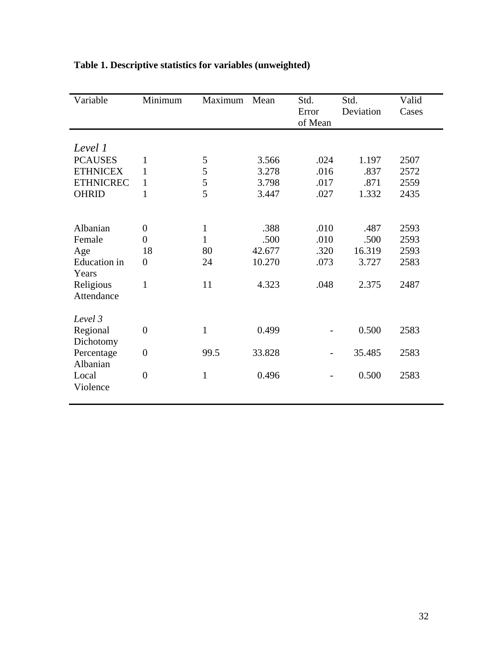| Variable            | Minimum          | Maximum      | Mean   | Std.<br>Error<br>of Mean | Std.<br>Deviation | Valid<br>Cases |
|---------------------|------------------|--------------|--------|--------------------------|-------------------|----------------|
|                     |                  |              |        |                          |                   |                |
| Level 1             |                  |              |        |                          |                   |                |
| <b>PCAUSES</b>      | 1                | 5            | 3.566  | .024                     | 1.197             | 2507           |
| <b>ETHNICEX</b>     | 1                | 5            | 3.278  | .016                     | .837              | 2572           |
| <b>ETHNICREC</b>    | 1                | 5            | 3.798  | .017                     | .871              | 2559           |
| <b>OHRID</b>        | $\mathbf{1}$     | 5            | 3.447  | .027                     | 1.332             | 2435           |
|                     |                  |              |        |                          |                   |                |
| Albanian            | $\overline{0}$   | $\mathbf{1}$ | .388   | .010                     | .487              | 2593           |
| Female              | $\overline{0}$   | $\mathbf{1}$ | .500   | .010                     | .500              | 2593           |
| Age                 | 18               | 80           | 42.677 | .320                     | 16.319            | 2593           |
| <b>Education</b> in | $\boldsymbol{0}$ | 24           | 10.270 | .073                     | 3.727             | 2583           |
| Years               |                  |              |        |                          |                   |                |
| Religious           | 1                | 11           | 4.323  | .048                     | 2.375             | 2487           |
| Attendance          |                  |              |        |                          |                   |                |
|                     |                  |              |        |                          |                   |                |
| Level 3             |                  |              |        |                          |                   |                |
| Regional            | $\boldsymbol{0}$ | $\mathbf{1}$ | 0.499  |                          | 0.500             | 2583           |
| Dichotomy           |                  |              |        |                          |                   |                |
| Percentage          | $\boldsymbol{0}$ | 99.5         | 33.828 |                          | 35.485            | 2583           |
| Albanian            |                  |              |        |                          |                   |                |
| Local               | $\overline{0}$   | $\mathbf{1}$ | 0.496  |                          | 0.500             | 2583           |
| Violence            |                  |              |        |                          |                   |                |
|                     |                  |              |        |                          |                   |                |

# **Table 1. Descriptive statistics for variables (unweighted)**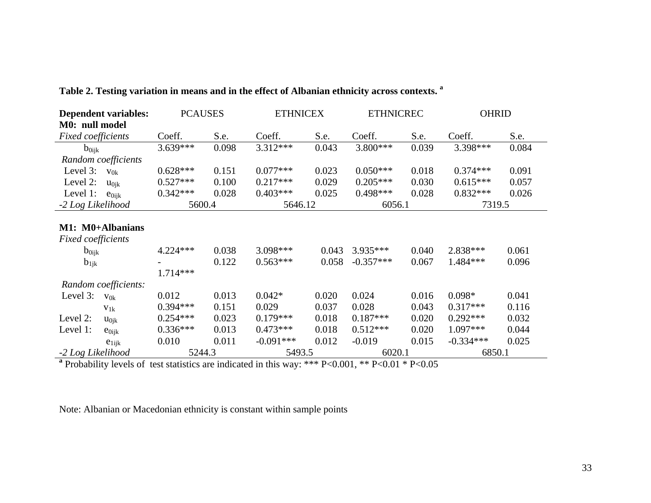| <b>Dependent variables:</b> | <b>PCAUSES</b> |       | <b>ETHNICEX</b> |       | <b>ETHNICREC</b> |       | OHRID       |       |
|-----------------------------|----------------|-------|-----------------|-------|------------------|-------|-------------|-------|
| M0: null model              |                |       |                 |       |                  |       |             |       |
| Fixed coefficients          | Coeff.         | S.e.  | Coeff.          | S.e.  | Coeff.           | S.e.  | Coeff.      | S.e.  |
| $b_{0ijk}$                  | 3.639***       | 0.098 | $3.312***$      | 0.043 | 3.800***         | 0.039 | 3.398***    | 0.084 |
| Random coefficients         |                |       |                 |       |                  |       |             |       |
| Level 3:<br>$V_{0k}$        | $0.628***$     | 0.151 | $0.077***$      | 0.023 | $0.050***$       | 0.018 | $0.374***$  | 0.091 |
| Level 2:<br>$u_{0ik}$       | $0.527***$     | 0.100 | $0.217***$      | 0.029 | $0.205***$       | 0.030 | $0.615***$  | 0.057 |
| Level 1:<br>$e_{0ijk}$      | $0.342***$     | 0.028 | $0.403***$      | 0.025 | 0.498***         | 0.028 | $0.832***$  | 0.026 |
| -2 Log Likelihood           | 5600.4         |       | 5646.12         |       | 6056.1           |       | 7319.5      |       |
|                             |                |       |                 |       |                  |       |             |       |
| M1: M0+Albanians            |                |       |                 |       |                  |       |             |       |
| Fixed coefficients          |                |       |                 |       |                  |       |             |       |
| $b_{0ijk}$                  | 4.224***       | 0.038 | $3.098***$      | 0.043 | 3.935***         | 0.040 | 2.838***    | 0.061 |
| $b_{1jk}$                   |                | 0.122 | $0.563***$      | 0.058 | $-0.357***$      | 0.067 | 1.484***    | 0.096 |
|                             | $1.714***$     |       |                 |       |                  |       |             |       |
| Random coefficients:        |                |       |                 |       |                  |       |             |       |
| Level 3:<br>$v_{0k}$        | 0.012          | 0.013 | $0.042*$        | 0.020 | 0.024            | 0.016 | $0.098*$    | 0.041 |
| $V_{1k}$                    | $0.394***$     | 0.151 | 0.029           | 0.037 | 0.028            | 0.043 | $0.317***$  | 0.116 |
| Level 2:<br>$u_{0jk}$       | $0.254***$     | 0.023 | $0.179***$      | 0.018 | $0.187***$       | 0.020 | $0.292***$  | 0.032 |
| Level 1:<br>$e_{0ijk}$      | $0.336***$     | 0.013 | $0.473***$      | 0.018 | $0.512***$       | 0.020 | 1.097***    | 0.044 |
| $e_{1ijk}$                  | 0.010          | 0.011 | $-0.091***$     | 0.012 | $-0.019$         | 0.015 | $-0.334***$ | 0.025 |
| -2 Log Likelihood           | 5244.3         |       | 5493.5          |       | 6020.1           |       | 6850.1      |       |

**Table 2. Testing variation in means and in the effect of Albanian ethnicity across contexts. a**

**<sup>a</sup>** Probability levels of test statistics are indicated in this way: \*\*\* P<0.001, \*\* P<0.01 \* P<0.05

Note: Albanian or Macedonian ethnicity is constant within sample points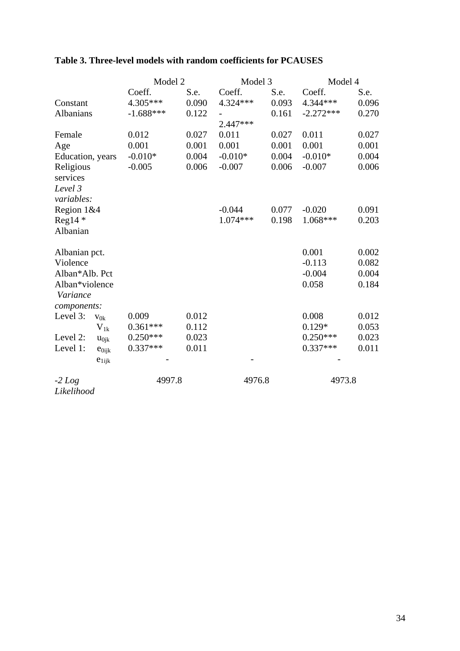|                  |              | Model 2     |       | Model 3    |       | Model 4     |       |
|------------------|--------------|-------------|-------|------------|-------|-------------|-------|
|                  |              | Coeff.      | S.e.  | Coeff.     | S.e.  | Coeff.      | S.e.  |
| Constant         |              | 4.305***    | 0.090 | 4.324 ***  | 0.093 | 4.344 ***   | 0.096 |
| Albanians        |              | $-1.688***$ | 0.122 |            | 0.161 | $-2.272***$ | 0.270 |
|                  |              |             |       | $2.447***$ |       |             |       |
| Female           |              | 0.012       | 0.027 | 0.011      | 0.027 | 0.011       | 0.027 |
| Age              |              | 0.001       | 0.001 | 0.001      | 0.001 | 0.001       | 0.001 |
| Education, years |              | $-0.010*$   | 0.004 | $-0.010*$  | 0.004 | $-0.010*$   | 0.004 |
| Religious        |              | $-0.005$    | 0.006 | $-0.007$   | 0.006 | $-0.007$    | 0.006 |
| services         |              |             |       |            |       |             |       |
| Level 3          |              |             |       |            |       |             |       |
| variables:       |              |             |       |            |       |             |       |
| Region 1&4       |              |             |       | $-0.044$   | 0.077 | $-0.020$    | 0.091 |
| $Reg14$ *        |              |             |       | $1.074***$ | 0.198 | $1.068***$  | 0.203 |
| Albanian         |              |             |       |            |       |             |       |
|                  |              |             |       |            |       |             |       |
| Albanian pct.    |              |             |       |            |       | 0.001       | 0.002 |
| Violence         |              |             |       |            |       | $-0.113$    | 0.082 |
| Alban*Alb. Pct   |              |             |       |            |       | $-0.004$    | 0.004 |
| Alban*violence   |              |             |       |            |       | 0.058       | 0.184 |
| Variance         |              |             |       |            |       |             |       |
| components:      |              |             |       |            |       |             |       |
| Level 3:         | $V_{0k}$     | 0.009       | 0.012 |            |       | 0.008       | 0.012 |
|                  | $\rm V_{1k}$ | $0.361***$  | 0.112 |            |       | $0.129*$    | 0.053 |
| Level 2:         | $u_{0jk}$    | $0.250***$  | 0.023 |            |       | $0.250***$  | 0.023 |
| Level 1:         | $e_{0ijk}$   | $0.337***$  | 0.011 |            |       | $0.337***$  | 0.011 |
|                  | $e_{1ijk}$   |             |       |            |       |             |       |
| $-2$ Log         |              | 4997.8      |       | 4976.8     |       | 4973.8      |       |
| Likelihood       |              |             |       |            |       |             |       |

# **Table 3. Three-level models with random coefficients for PCAUSES**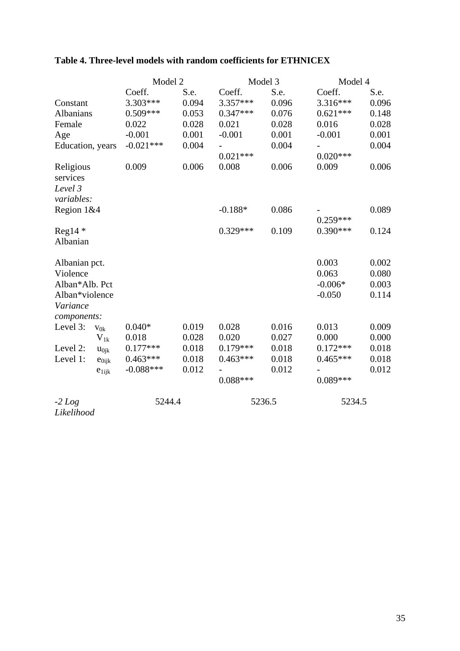|                                                               | Model 2           |                |                | Model 3        | Model 4                                 |                                  |
|---------------------------------------------------------------|-------------------|----------------|----------------|----------------|-----------------------------------------|----------------------------------|
|                                                               | Coeff.            | S.e.           | Coeff.         | S.e.           | Coeff.                                  | S.e.                             |
| Constant                                                      | 3.303***          | 0.094          | 3.357***       | 0.096          | 3.316***                                | 0.096                            |
| Albanians                                                     | $0.509***$        | 0.053          | $0.347***$     | 0.076          | $0.621***$                              | 0.148                            |
| Female                                                        | 0.022             | 0.028          | 0.021          | 0.028          | 0.016                                   | 0.028                            |
| Age                                                           | $-0.001$          | 0.001          | $-0.001$       | 0.001          | $-0.001$                                | 0.001                            |
| Education, years                                              | $-0.021***$       | 0.004          |                | 0.004          |                                         | 0.004                            |
|                                                               |                   |                | $0.021***$     |                | $0.020***$                              |                                  |
| Religious<br>services<br>Level 3<br>variables:                | 0.009             | 0.006          | 0.008          | 0.006          | 0.009                                   | 0.006                            |
| Region 1&4                                                    |                   |                | $-0.188*$      | 0.086          | $0.259***$                              | 0.089                            |
| $Reg14$ *<br>Albanian                                         |                   |                | $0.329***$     | 0.109          | $0.390***$                              | 0.124                            |
| Albanian pct.<br>Violence<br>Alban*Alb. Pct<br>Alban*violence |                   |                |                |                | 0.003<br>0.063<br>$-0.006*$<br>$-0.050$ | 0.002<br>0.080<br>0.003<br>0.114 |
| Variance                                                      |                   |                |                |                |                                         |                                  |
| components:                                                   |                   |                |                |                |                                         |                                  |
| Level 3:<br>$v_{0k}$                                          | $0.040*$<br>0.018 | 0.019<br>0.028 | 0.028<br>0.020 | 0.016<br>0.027 | 0.013<br>0.000                          | 0.009<br>0.000                   |
| $V_{1k}$<br>Level 2:                                          | $0.177***$        | 0.018          | $0.179***$     | 0.018          | $0.172***$                              | 0.018                            |
| $u_{0jk}$<br>Level 1:                                         | $0.463***$        | 0.018          | $0.463***$     | 0.018          | $0.465***$                              | 0.018                            |
| $e_{0ijk}$                                                    | $-0.088***$       | 0.012          |                | 0.012          |                                         | 0.012                            |
| $e_{1ijk}$                                                    |                   |                | $0.088***$     |                | $0.089***$                              |                                  |
| $-2$ Log                                                      | 5244.4            |                |                | 5236.5         | 5234.5                                  |                                  |

# **Table 4. Three-level models with random coefficients for ETHNICEX**

*Likelihood*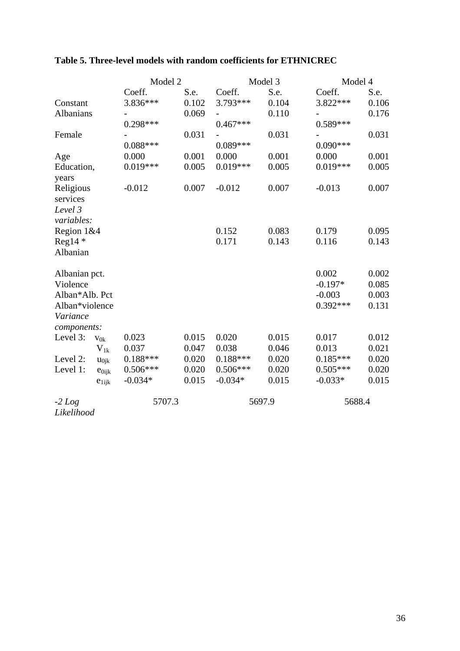|                |            | Model 2    |       | Model 3    |        |            | Model 4 |  |
|----------------|------------|------------|-------|------------|--------|------------|---------|--|
|                |            | Coeff.     | S.e.  | Coeff.     | S.e.   | Coeff.     | S.e.    |  |
| Constant       |            | 3.836***   | 0.102 | 3.793***   | 0.104  | 3.822***   | 0.106   |  |
| Albanians      |            |            | 0.069 |            | 0.110  |            | 0.176   |  |
|                |            | 0.298***   |       | $0.467***$ |        | $0.589***$ |         |  |
| Female         |            |            | 0.031 |            | 0.031  |            | 0.031   |  |
|                |            | $0.088***$ |       | $0.089***$ |        | $0.090***$ |         |  |
| Age            |            | 0.000      | 0.001 | 0.000      | 0.001  | 0.000      | 0.001   |  |
| Education,     |            | $0.019***$ | 0.005 | $0.019***$ | 0.005  | $0.019***$ | 0.005   |  |
| years          |            |            |       |            |        |            |         |  |
| Religious      |            | $-0.012$   | 0.007 | $-0.012$   | 0.007  | $-0.013$   | 0.007   |  |
| services       |            |            |       |            |        |            |         |  |
| Level 3        |            |            |       |            |        |            |         |  |
| variables:     |            |            |       |            |        |            |         |  |
| Region 1&4     |            |            |       | 0.152      | 0.083  | 0.179      | 0.095   |  |
| $Reg14*$       |            |            |       | 0.171      | 0.143  | 0.116      | 0.143   |  |
| Albanian       |            |            |       |            |        |            |         |  |
| Albanian pct.  |            |            |       |            |        | 0.002      | 0.002   |  |
| Violence       |            |            |       |            |        | $-0.197*$  | 0.085   |  |
| Alban*Alb. Pct |            |            |       |            |        | $-0.003$   | 0.003   |  |
| Alban*violence |            |            |       |            |        | $0.392***$ | 0.131   |  |
| Variance       |            |            |       |            |        |            |         |  |
| components:    |            |            |       |            |        |            |         |  |
| Level 3:       | $V_{0k}$   | 0.023      | 0.015 | 0.020      | 0.015  | 0.017      | 0.012   |  |
|                | $V_{1k}$   | 0.037      | 0.047 | 0.038      | 0.046  | 0.013      | 0.021   |  |
| Level 2:       | $u_{0jk}$  | $0.188***$ | 0.020 | $0.188***$ | 0.020  | $0.185***$ | 0.020   |  |
| Level 1:       | $e_{0ijk}$ | $0.506***$ | 0.020 | $0.506***$ | 0.020  | $0.505***$ | 0.020   |  |
|                | $e_{1ijk}$ | $-0.034*$  | 0.015 | $-0.034*$  | 0.015  | $-0.033*$  | 0.015   |  |
| $-2$ Log       |            | 5707.3     |       |            | 5697.9 | 5688.4     |         |  |
| Likelihood     |            |            |       |            |        |            |         |  |

# **Table 5. Three-level models with random coefficients for ETHNICREC**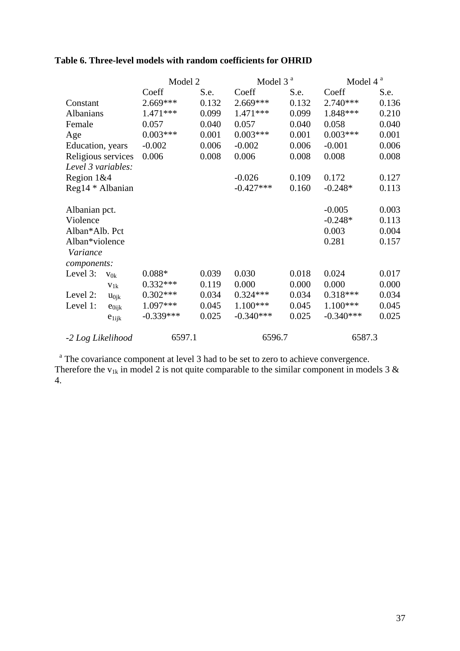| Table 6. Three-level models with random coefficients for OHRID |  |  |  |  |  |  |
|----------------------------------------------------------------|--|--|--|--|--|--|
|----------------------------------------------------------------|--|--|--|--|--|--|

|                        | Model 2     |       | Model 3 <sup>a</sup> |       | Model 4 <sup>a</sup> |       |
|------------------------|-------------|-------|----------------------|-------|----------------------|-------|
|                        | Coeff       | S.e.  | Coeff                | S.e.  | Coeff                | S.e.  |
| Constant               | 2.669***    | 0.132 | 2.669***             | 0.132 | $2.740***$           | 0.136 |
| Albanians              | $1.471***$  | 0.099 | 1.471 ***            | 0.099 | 1.848***             | 0.210 |
| Female                 | 0.057       | 0.040 | 0.057                | 0.040 | 0.058                | 0.040 |
| Age                    | $0.003***$  | 0.001 | $0.003***$           | 0.001 | $0.003***$           | 0.001 |
| Education, years       | $-0.002$    | 0.006 | $-0.002$             | 0.006 | $-0.001$             | 0.006 |
| Religious services     | 0.006       | 0.008 | 0.006                | 0.008 | 0.008                | 0.008 |
| Level 3 variables:     |             |       |                      |       |                      |       |
| Region $1&4$           |             |       | $-0.026$             | 0.109 | 0.172                | 0.127 |
| Reg14 * Albanian       |             |       | $-0.427***$          | 0.160 | $-0.248*$            | 0.113 |
| Albanian pct.          |             |       |                      |       | $-0.005$             | 0.003 |
| Violence               |             |       |                      |       | $-0.248*$            | 0.113 |
| Alban*Alb. Pct         |             |       |                      |       | 0.003                | 0.004 |
| Alban*violence         |             |       |                      |       | 0.281                | 0.157 |
| Variance               |             |       |                      |       |                      |       |
| components:            |             |       |                      |       |                      |       |
| Level 3:<br>$V_{0k}$   | $0.088*$    | 0.039 | 0.030                | 0.018 | 0.024                | 0.017 |
| $V_{1k}$               | $0.332***$  | 0.119 | 0.000                | 0.000 | 0.000                | 0.000 |
| Level 2:<br>$u_{0jk}$  | $0.302***$  | 0.034 | $0.324***$           | 0.034 | $0.318***$           | 0.034 |
| Level 1:<br>$e_{0ijk}$ | 1.097***    | 0.045 | $1.100***$           | 0.045 | $1.100***$           | 0.045 |
| $e_{1ijk}$             | $-0.339***$ | 0.025 | $-0.340***$          | 0.025 | $-0.340***$          | 0.025 |
| -2 Log Likelihood      | 6597.1      |       | 6596.7               |       | 6587.3               |       |

<sup>a</sup> The covariance component at level 3 had to be set to zero to achieve convergence. Therefore the  $v_{1k}$  in model 2 is not quite comparable to the similar component in models 3  $\&$ 4.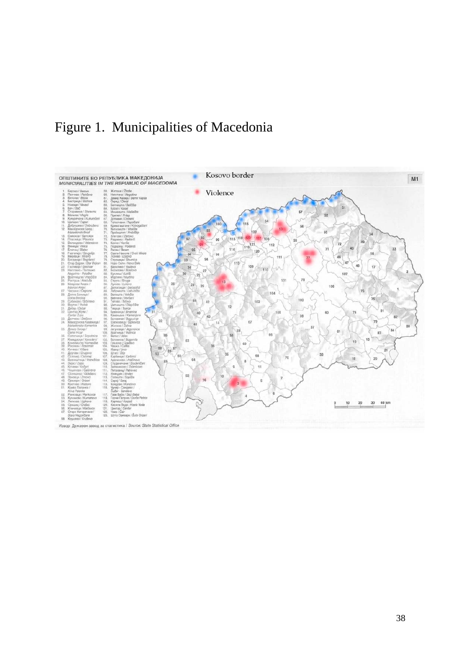# Figure 1. Municipalities of Macedonia



Извор: Државен завод за статистика / Source: State Statistical Office